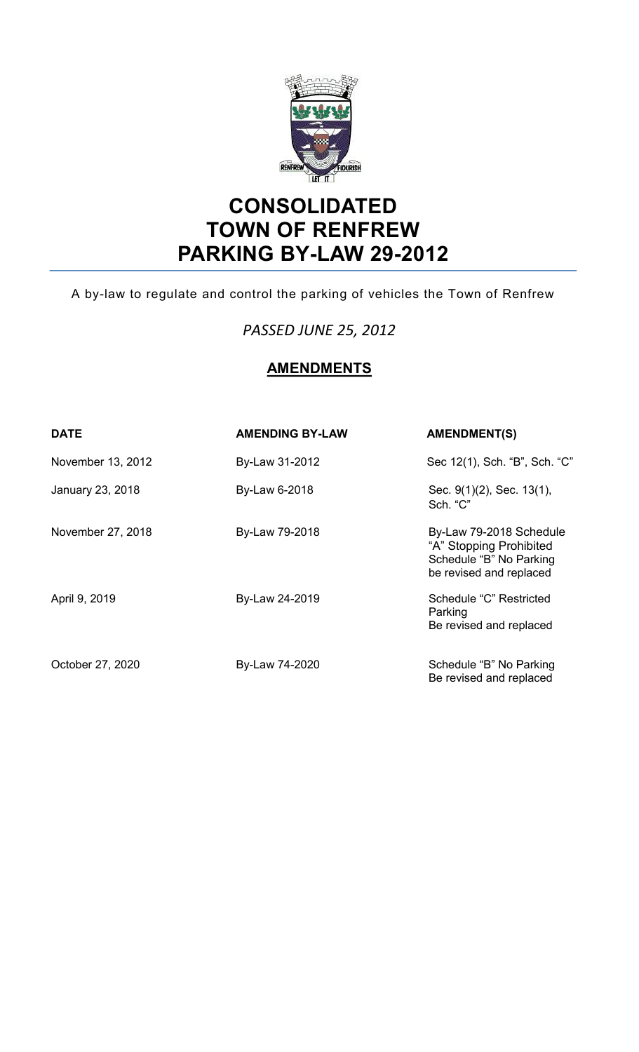

# **CONSOLIDATED TOWN OF RENFREW PARKING BY-LAW 29-2012**

A by-law to regulate and control the parking of vehicles the Town of Renfrew

# *PASSED JUNE 25, 2012*

# **AMENDMENTS**

| <b>DATE</b>       | <b>AMENDING BY-LAW</b> | <b>AMENDMENT(S)</b>                                                                                      |
|-------------------|------------------------|----------------------------------------------------------------------------------------------------------|
| November 13, 2012 | By-Law 31-2012         | Sec 12(1), Sch. "B", Sch. "C"                                                                            |
| January 23, 2018  | By-Law 6-2018          | Sec. 9(1)(2), Sec. 13(1),<br>Sch. "C"                                                                    |
| November 27, 2018 | By-Law 79-2018         | By-Law 79-2018 Schedule<br>"A" Stopping Prohibited<br>Schedule "B" No Parking<br>be revised and replaced |
| April 9, 2019     | By-Law 24-2019         | Schedule "C" Restricted<br>Parking<br>Be revised and replaced                                            |
| October 27, 2020  | By-Law 74-2020         | Schedule "B" No Parking<br>Be revised and replaced                                                       |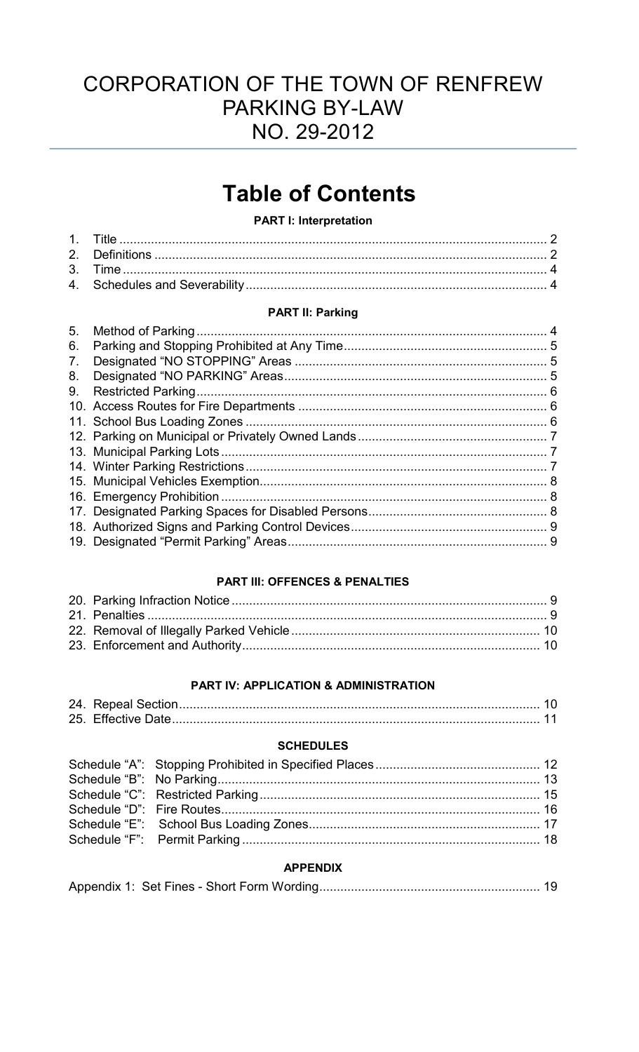# CORPORATION OF THE TOWN OF RENFREW PARKING BY-LAW NO. 29-2012

# **Table of Contents**

#### **PART I: Interpretation**

#### **PART II: Parking**

| 5. | 4 |
|----|---|
| 6. |   |
| 7. |   |
| 8. |   |
| 9. |   |
|    |   |
|    |   |
|    |   |
|    |   |
|    |   |
|    |   |
|    |   |
|    |   |
|    |   |
|    |   |
|    |   |

#### **PART III: OFFENCES & PENALTIES**

#### PART IV: APPLICATION & ADMINISTRATION

#### **SCHEDULES**

#### **APPENDIX**

|--|--|--|--|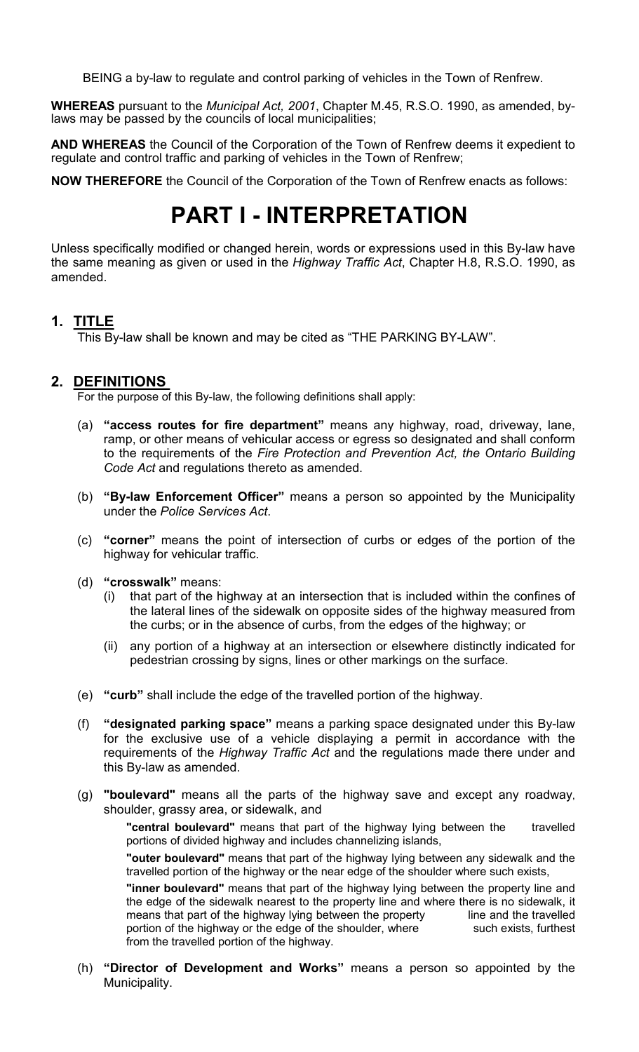BEING a by-law to regulate and control parking of vehicles in the Town of Renfrew.

**WHEREAS** pursuant to the *Municipal Act, 2001*, Chapter M.45, R.S.O. 1990, as amended, bylaws may be passed by the councils of local municipalities;

**AND WHEREAS** the Council of the Corporation of the Town of Renfrew deems it expedient to regulate and control traffic and parking of vehicles in the Town of Renfrew;

**NOW THEREFORE** the Council of the Corporation of the Town of Renfrew enacts as follows:

# **PART I - INTERPRETATION**

Unless specifically modified or changed herein, words or expressions used in this By-law have the same meaning as given or used in the *Highway Traffic Act*, Chapter H.8, R.S.O. 1990, as amended.

#### **1. TITLE**

This By-law shall be known and may be cited as "THE PARKING BY-LAW".

#### **2. DEFINITIONS**

For the purpose of this By-law, the following definitions shall apply:

- (a) **"access routes for fire department"** means any highway, road, driveway, lane, ramp, or other means of vehicular access or egress so designated and shall conform to the requirements of the *Fire Protection and Prevention Act, the Ontario Building Code Act* and regulations thereto as amended.
- (b) **"By-law Enforcement Officer"** means a person so appointed by the Municipality under the *Police Services Act*.
- (c) **"corner"** means the point of intersection of curbs or edges of the portion of the highway for vehicular traffic.
- (d) **"crosswalk"** means:
	- (i) that part of the highway at an intersection that is included within the confines of the lateral lines of the sidewalk on opposite sides of the highway measured from the curbs; or in the absence of curbs, from the edges of the highway; or
	- (ii) any portion of a highway at an intersection or elsewhere distinctly indicated for pedestrian crossing by signs, lines or other markings on the surface.
- (e) **"curb"** shall include the edge of the travelled portion of the highway.
- (f) **"designated parking space"** means a parking space designated under this By-law for the exclusive use of a vehicle displaying a permit in accordance with the requirements of the *Highway Traffic Act* and the regulations made there under and this By-law as amended.
- (g) **"boulevard"** means all the parts of the highway save and except any roadway, shoulder, grassy area, or sidewalk, and

**"central boulevard"** means that part of the highway lying between the travelled portions of divided highway and includes channelizing islands,

**"outer boulevard"** means that part of the highway lying between any sidewalk and the travelled portion of the highway or the near edge of the shoulder where such exists,

**"inner boulevard"** means that part of the highway lying between the property line and the edge of the sidewalk nearest to the property line and where there is no sidewalk, it means that part of the highway lying between the property line and the travelled means that part of the highway lying between the property portion of the highway or the edge of the shoulder, where such exists, furthest from the travelled portion of the highway.

(h) **"Director of Development and Works"** means a person so appointed by the Municipality.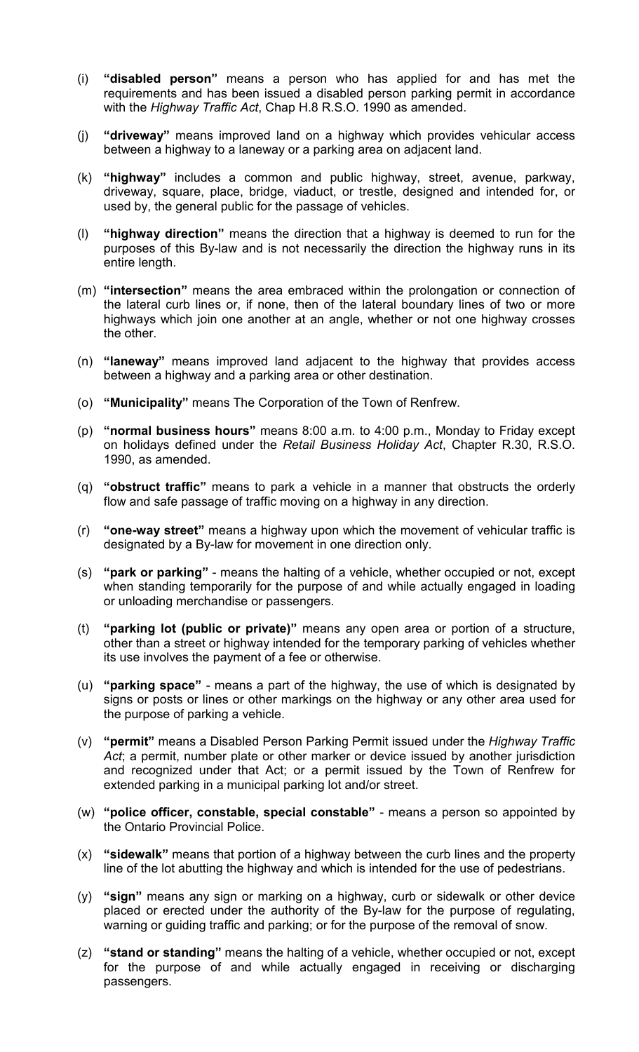- (i) **"disabled person"** means a person who has applied for and has met the requirements and has been issued a disabled person parking permit in accordance with the *Highway Traffic Act*, Chap H.8 R.S.O. 1990 as amended.
- (j) **"driveway"** means improved land on a highway which provides vehicular access between a highway to a laneway or a parking area on adjacent land.
- (k) **"highway"** includes a common and public highway, street, avenue, parkway, driveway, square, place, bridge, viaduct, or trestle, designed and intended for, or used by, the general public for the passage of vehicles.
- (l) **"highway direction"** means the direction that a highway is deemed to run for the purposes of this By-law and is not necessarily the direction the highway runs in its entire length.
- (m) **"intersection"** means the area embraced within the prolongation or connection of the lateral curb lines or, if none, then of the lateral boundary lines of two or more highways which join one another at an angle, whether or not one highway crosses the other.
- (n) **"laneway"** means improved land adjacent to the highway that provides access between a highway and a parking area or other destination.
- (o) **"Municipality"** means The Corporation of the Town of Renfrew.
- (p) **"normal business hours"** means 8:00 a.m. to 4:00 p.m., Monday to Friday except on holidays defined under the *Retail Business Holiday Act*, Chapter R.30, R.S.O. 1990, as amended.
- (q) **"obstruct traffic"** means to park a vehicle in a manner that obstructs the orderly flow and safe passage of traffic moving on a highway in any direction.
- (r) **"one-way street"** means a highway upon which the movement of vehicular traffic is designated by a By-law for movement in one direction only.
- (s) **"park or parking"** means the halting of a vehicle, whether occupied or not, except when standing temporarily for the purpose of and while actually engaged in loading or unloading merchandise or passengers.
- (t) **"parking lot (public or private)"** means any open area or portion of a structure, other than a street or highway intended for the temporary parking of vehicles whether its use involves the payment of a fee or otherwise.
- (u) **"parking space"** means a part of the highway, the use of which is designated by signs or posts or lines or other markings on the highway or any other area used for the purpose of parking a vehicle.
- (v) **"permit"** means a Disabled Person Parking Permit issued under the *Highway Traffic Act*; a permit, number plate or other marker or device issued by another jurisdiction and recognized under that Act; or a permit issued by the Town of Renfrew for extended parking in a municipal parking lot and/or street.
- (w) **"police officer, constable, special constable"** means a person so appointed by the Ontario Provincial Police.
- (x) **"sidewalk"** means that portion of a highway between the curb lines and the property line of the lot abutting the highway and which is intended for the use of pedestrians.
- (y) **"sign"** means any sign or marking on a highway, curb or sidewalk or other device placed or erected under the authority of the By-law for the purpose of regulating, warning or guiding traffic and parking; or for the purpose of the removal of snow.
- (z) **"stand or standing"** means the halting of a vehicle, whether occupied or not, except for the purpose of and while actually engaged in receiving or discharging passengers.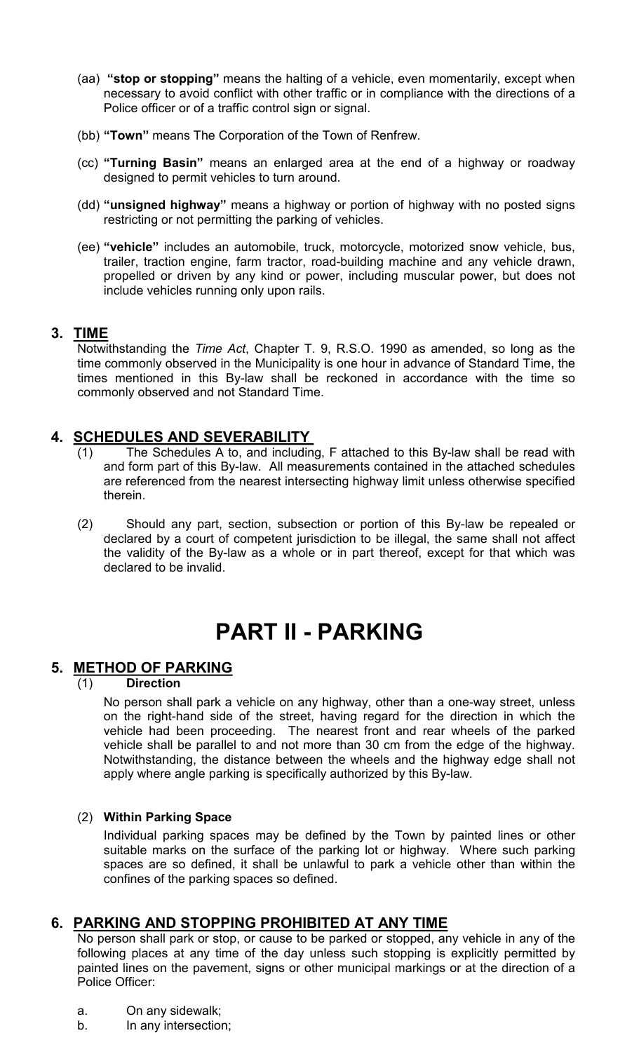- (aa) **"stop or stopping"** means the halting of a vehicle, even momentarily, except when necessary to avoid conflict with other traffic or in compliance with the directions of a Police officer or of a traffic control sign or signal.
- (bb) **"Town"** means The Corporation of the Town of Renfrew.
- (cc) **"Turning Basin"** means an enlarged area at the end of a highway or roadway designed to permit vehicles to turn around.
- (dd) **"unsigned highway"** means a highway or portion of highway with no posted signs restricting or not permitting the parking of vehicles.
- (ee) **"vehicle"** includes an automobile, truck, motorcycle, motorized snow vehicle, bus, trailer, traction engine, farm tractor, road-building machine and any vehicle drawn, propelled or driven by any kind or power, including muscular power, but does not include vehicles running only upon rails.

#### **3. TIME**

Notwithstanding the *Time Act*, Chapter T. 9, R.S.O. 1990 as amended, so long as the time commonly observed in the Municipality is one hour in advance of Standard Time, the times mentioned in this By-law shall be reckoned in accordance with the time so commonly observed and not Standard Time.

#### **4. SCHEDULES AND SEVERABILITY**

- (1) The Schedules A to, and including, F attached to this By-law shall be read with and form part of this By-law. All measurements contained in the attached schedules are referenced from the nearest intersecting highway limit unless otherwise specified therein.
- (2) Should any part, section, subsection or portion of this By-law be repealed or declared by a court of competent jurisdiction to be illegal, the same shall not affect the validity of the By-law as a whole or in part thereof, except for that which was declared to be invalid.

# **PART II - PARKING**

#### **5. METHOD OF PARKING**

#### (1) **Direction**

No person shall park a vehicle on any highway, other than a one-way street, unless on the right-hand side of the street, having regard for the direction in which the vehicle had been proceeding. The nearest front and rear wheels of the parked vehicle shall be parallel to and not more than 30 cm from the edge of the highway. Notwithstanding, the distance between the wheels and the highway edge shall not apply where angle parking is specifically authorized by this By-law.

#### (2) **Within Parking Space**

Individual parking spaces may be defined by the Town by painted lines or other suitable marks on the surface of the parking lot or highway. Where such parking spaces are so defined, it shall be unlawful to park a vehicle other than within the confines of the parking spaces so defined.

#### **6. PARKING AND STOPPING PROHIBITED AT ANY TIME**

No person shall park or stop, or cause to be parked or stopped, any vehicle in any of the following places at any time of the day unless such stopping is explicitly permitted by painted lines on the pavement, signs or other municipal markings or at the direction of a Police Officer:

- a. On any sidewalk;
- b. In any intersection;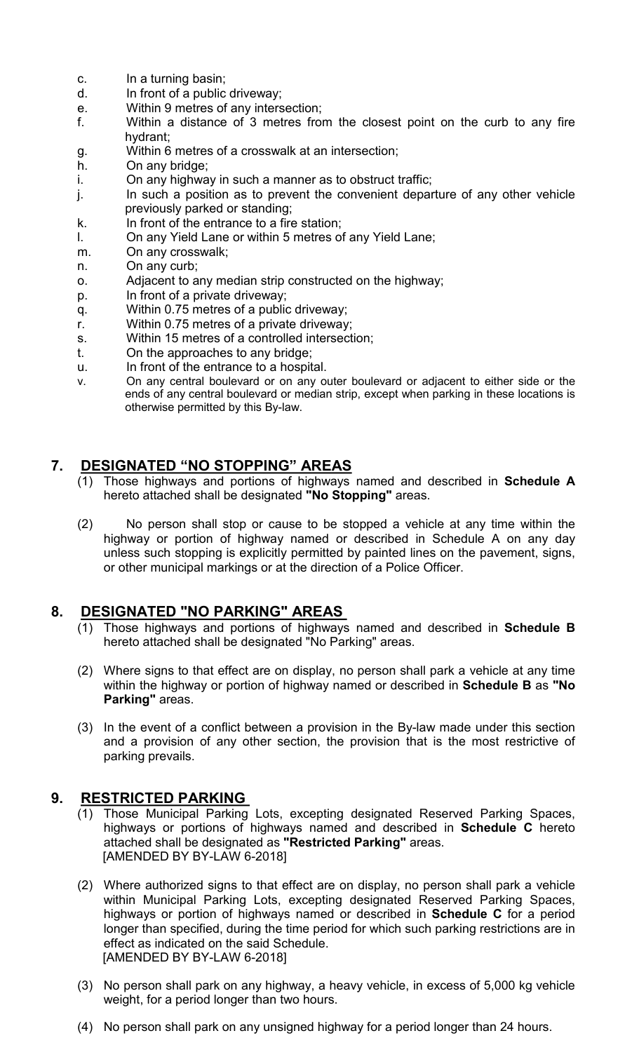- c. In a turning basin;
- d. In front of a public driveway;
- e. Within 9 metres of any intersection;
- f. Within a distance of 3 metres from the closest point on the curb to any fire hydrant;
- g. Within 6 metres of a crosswalk at an intersection;
- h. On any bridge;
- i. On any highway in such a manner as to obstruct traffic;
- j. In such a position as to prevent the convenient departure of any other vehicle previously parked or standing;
- k. In front of the entrance to a fire station;
- l. On any Yield Lane or within 5 metres of any Yield Lane;
- m. On any crosswalk;
- n. On any curb;
- o. Adjacent to any median strip constructed on the highway;
- p. In front of a private driveway;
- q. Within 0.75 metres of a public driveway;
- r. Within 0.75 metres of a private driveway;
- s. Within 15 metres of a controlled intersection;
- t. On the approaches to any bridge;
- u. In front of the entrance to a hospital.
- v. On any central boulevard or on any outer boulevard or adjacent to either side or the ends of any central boulevard or median strip, except when parking in these locations is otherwise permitted by this By-law.

#### **7. DESIGNATED "NO STOPPING" AREAS**

- (1) Those highways and portions of highways named and described in **Schedule A**  hereto attached shall be designated **"No Stopping"** areas.
- (2) No person shall stop or cause to be stopped a vehicle at any time within the highway or portion of highway named or described in Schedule A on any day unless such stopping is explicitly permitted by painted lines on the pavement, signs, or other municipal markings or at the direction of a Police Officer.

#### **8. DESIGNATED "NO PARKING" AREAS**

- (1) Those highways and portions of highways named and described in **Schedule B**  hereto attached shall be designated "No Parking" areas.
- (2) Where signs to that effect are on display, no person shall park a vehicle at any time within the highway or portion of highway named or described in **Schedule B** as **"No Parking"** areas.
- (3) In the event of a conflict between a provision in the By-law made under this section and a provision of any other section, the provision that is the most restrictive of parking prevails.

#### **9. RESTRICTED PARKING**

- (1) Those Municipal Parking Lots, excepting designated Reserved Parking Spaces, highways or portions of highways named and described in **Schedule C** hereto attached shall be designated as **"Restricted Parking"** areas. [AMENDED BY BY-LAW 6-2018]
- (2) Where authorized signs to that effect are on display, no person shall park a vehicle within Municipal Parking Lots, excepting designated Reserved Parking Spaces, highways or portion of highways named or described in **Schedule C** for a period longer than specified, during the time period for which such parking restrictions are in effect as indicated on the said Schedule. [AMENDED BY BY-LAW 6-2018]
- (3) No person shall park on any highway, a heavy vehicle, in excess of 5,000 kg vehicle weight, for a period longer than two hours.
- (4) No person shall park on any unsigned highway for a period longer than 24 hours.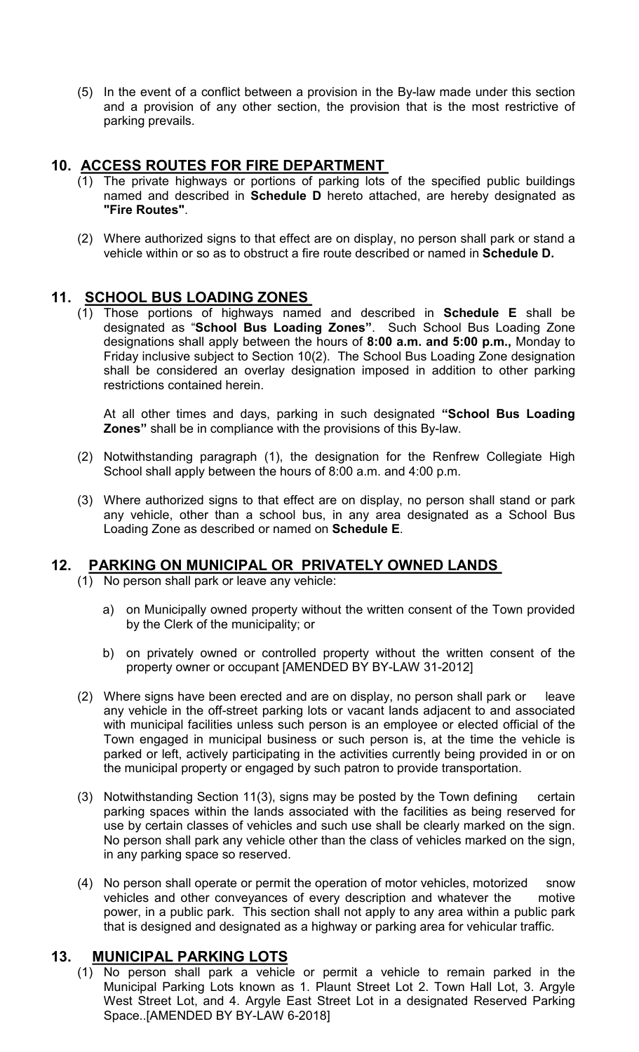(5) In the event of a conflict between a provision in the By-law made under this section and a provision of any other section, the provision that is the most restrictive of parking prevails.

### **10. ACCESS ROUTES FOR FIRE DEPARTMENT**

- (1) The private highways or portions of parking lots of the specified public buildings named and described in **Schedule D** hereto attached, are hereby designated as **"Fire Routes"**.
- (2) Where authorized signs to that effect are on display, no person shall park or stand a vehicle within or so as to obstruct a fire route described or named in **Schedule D.**

#### **11. SCHOOL BUS LOADING ZONES**

(1) Those portions of highways named and described in **Schedule E** shall be designated as "**School Bus Loading Zones"**. Such School Bus Loading Zone designations shall apply between the hours of **8:00 a.m. and 5:00 p.m.,** Monday to Friday inclusive subject to Section 10(2). The School Bus Loading Zone designation shall be considered an overlay designation imposed in addition to other parking restrictions contained herein.

At all other times and days, parking in such designated **"School Bus Loading Zones"** shall be in compliance with the provisions of this By-law.

- (2) Notwithstanding paragraph (1), the designation for the Renfrew Collegiate High School shall apply between the hours of 8:00 a.m. and 4:00 p.m.
- (3) Where authorized signs to that effect are on display, no person shall stand or park any vehicle, other than a school bus, in any area designated as a School Bus Loading Zone as described or named on **Schedule E**.

## **12. PARKING ON MUNICIPAL OR PRIVATELY OWNED LANDS**

(1) No person shall park or leave any vehicle:

- a) on Municipally owned property without the written consent of the Town provided by the Clerk of the municipality; or
- b) on privately owned or controlled property without the written consent of the property owner or occupant [AMENDED BY BY-LAW 31-2012]
- (2) Where signs have been erected and are on display, no person shall park or leave any vehicle in the off-street parking lots or vacant lands adjacent to and associated with municipal facilities unless such person is an employee or elected official of the Town engaged in municipal business or such person is, at the time the vehicle is parked or left, actively participating in the activities currently being provided in or on the municipal property or engaged by such patron to provide transportation.
- (3) Notwithstanding Section 11(3), signs may be posted by the Town defining certain parking spaces within the lands associated with the facilities as being reserved for use by certain classes of vehicles and such use shall be clearly marked on the sign. No person shall park any vehicle other than the class of vehicles marked on the sign, in any parking space so reserved.
- (4) No person shall operate or permit the operation of motor vehicles, motorized snow vehicles and other conveyances of every description and whatever the motive power, in a public park. This section shall not apply to any area within a public park that is designed and designated as a highway or parking area for vehicular traffic.

#### **13. MUNICIPAL PARKING LOTS**

(1) No person shall park a vehicle or permit a vehicle to remain parked in the Municipal Parking Lots known as 1. Plaunt Street Lot 2. Town Hall Lot, 3. Argyle West Street Lot, and 4. Argyle East Street Lot in a designated Reserved Parking Space..[AMENDED BY BY-LAW 6-2018]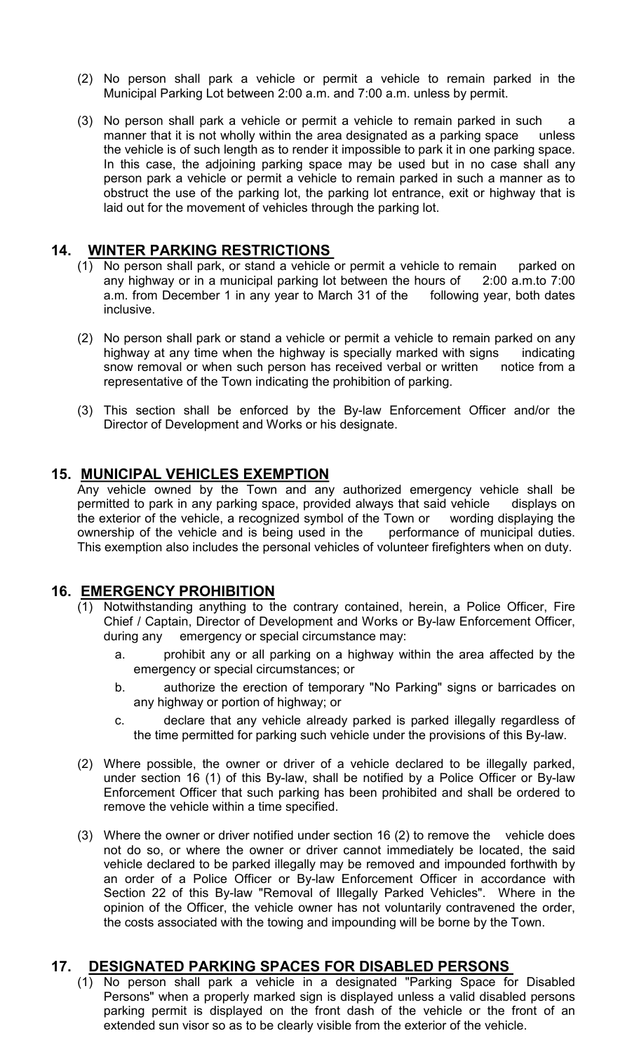- (2) No person shall park a vehicle or permit a vehicle to remain parked in the Municipal Parking Lot between 2:00 a.m. and 7:00 a.m. unless by permit.
- (3) No person shall park a vehicle or permit a vehicle to remain parked in such a manner that it is not wholly within the area designated as a parking space unless the vehicle is of such length as to render it impossible to park it in one parking space. In this case, the adjoining parking space may be used but in no case shall any person park a vehicle or permit a vehicle to remain parked in such a manner as to obstruct the use of the parking lot, the parking lot entrance, exit or highway that is laid out for the movement of vehicles through the parking lot.

#### **14. WINTER PARKING RESTRICTIONS**

- (1) No person shall park, or stand a vehicle or permit a vehicle to remain parked on any highway or in a municipal parking lot between the hours of 2:00 a.m.to 7:00 a.m. from December 1 in any year to March 31 of the following year, both dates inclusive.
- (2) No person shall park or stand a vehicle or permit a vehicle to remain parked on any highway at any time when the highway is specially marked with signs indicating snow removal or when such person has received verbal or written notice from a representative of the Town indicating the prohibition of parking.
- (3) This section shall be enforced by the By-law Enforcement Officer and/or the Director of Development and Works or his designate.

### **15. MUNICIPAL VEHICLES EXEMPTION**

Any vehicle owned by the Town and any authorized emergency vehicle shall be permitted to park in any parking space, provided always that said vehicle displays on the exterior of the vehicle, a recognized symbol of the Town or wording displaying the ownership of the vehicle and is being used in the performance of municipal duties. This exemption also includes the personal vehicles of volunteer firefighters when on duty.

#### **16. EMERGENCY PROHIBITION**

- (1) Notwithstanding anything to the contrary contained, herein, a Police Officer, Fire Chief / Captain, Director of Development and Works or By-law Enforcement Officer, during any emergency or special circumstance may:
	- a. prohibit any or all parking on a highway within the area affected by the emergency or special circumstances; or
	- b. authorize the erection of temporary "No Parking" signs or barricades on any highway or portion of highway; or
	- c. declare that any vehicle already parked is parked illegally regardless of the time permitted for parking such vehicle under the provisions of this By-law.
- (2) Where possible, the owner or driver of a vehicle declared to be illegally parked, under section 16 (1) of this By-law, shall be notified by a Police Officer or By-law Enforcement Officer that such parking has been prohibited and shall be ordered to remove the vehicle within a time specified.
- (3) Where the owner or driver notified under section 16 (2) to remove the vehicle does not do so, or where the owner or driver cannot immediately be located, the said vehicle declared to be parked illegally may be removed and impounded forthwith by an order of a Police Officer or By-law Enforcement Officer in accordance with Section 22 of this By-law "Removal of Illegally Parked Vehicles". Where in the opinion of the Officer, the vehicle owner has not voluntarily contravened the order, the costs associated with the towing and impounding will be borne by the Town.

#### **17. DESIGNATED PARKING SPACES FOR DISABLED PERSONS**

(1) No person shall park a vehicle in a designated "Parking Space for Disabled Persons" when a properly marked sign is displayed unless a valid disabled persons parking permit is displayed on the front dash of the vehicle or the front of an extended sun visor so as to be clearly visible from the exterior of the vehicle.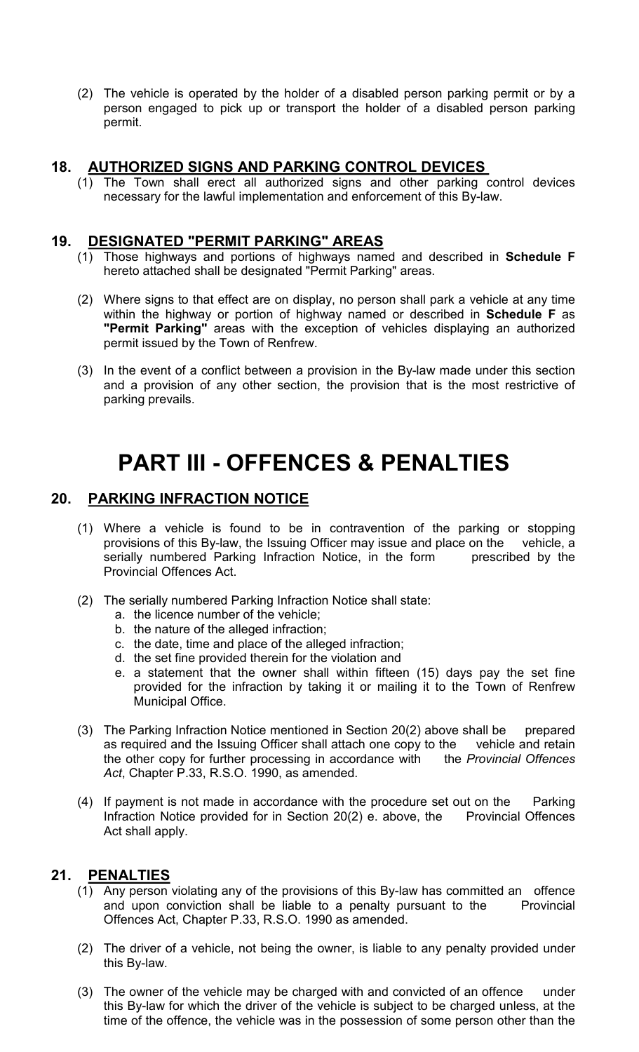(2) The vehicle is operated by the holder of a disabled person parking permit or by a person engaged to pick up or transport the holder of a disabled person parking permit.

#### **18. AUTHORIZED SIGNS AND PARKING CONTROL DEVICES**

(1) The Town shall erect all authorized signs and other parking control devices necessary for the lawful implementation and enforcement of this By-law.

#### **19. DESIGNATED "PERMIT PARKING" AREAS**

- (1) Those highways and portions of highways named and described in **Schedule F** hereto attached shall be designated "Permit Parking" areas.
- (2) Where signs to that effect are on display, no person shall park a vehicle at any time within the highway or portion of highway named or described in **Schedule F** as **"Permit Parking"** areas with the exception of vehicles displaying an authorized permit issued by the Town of Renfrew.
- (3) In the event of a conflict between a provision in the By-law made under this section and a provision of any other section, the provision that is the most restrictive of parking prevails.

# **PART III - OFFENCES & PENALTIES**

#### **20. PARKING INFRACTION NOTICE**

- (1) Where a vehicle is found to be in contravention of the parking or stopping provisions of this By-law, the Issuing Officer may issue and place on the vehicle, a serially numbered Parking Infraction Notice, in the form prescribed by the Provincial Offences Act.
- (2) The serially numbered Parking Infraction Notice shall state:
	- a. the licence number of the vehicle;
	- b. the nature of the alleged infraction;
	- c. the date, time and place of the alleged infraction;
	- d. the set fine provided therein for the violation and
	- e. a statement that the owner shall within fifteen (15) days pay the set fine provided for the infraction by taking it or mailing it to the Town of Renfrew Municipal Office.
- (3) The Parking Infraction Notice mentioned in Section 20(2) above shall be prepared as required and the Issuing Officer shall attach one copy to the vehicle and retain the other copy for further processing in accordance with the *Provincial Offences Act*, Chapter P.33, R.S.O. 1990, as amended.
- (4) If payment is not made in accordance with the procedure set out on the Parking Infraction Notice provided for in Section  $20(2)$  e. above, the Provincial Offences Act shall apply.

#### **21. PENALTIES**

- (1) Any person violating any of the provisions of this By-law has committed an offence and upon conviction shall be liable to a penalty pursuant to the Provincial Offences Act, Chapter P.33, R.S.O. 1990 as amended.
- (2) The driver of a vehicle, not being the owner, is liable to any penalty provided under this By-law.
- (3) The owner of the vehicle may be charged with and convicted of an offence under this By-law for which the driver of the vehicle is subject to be charged unless, at the time of the offence, the vehicle was in the possession of some person other than the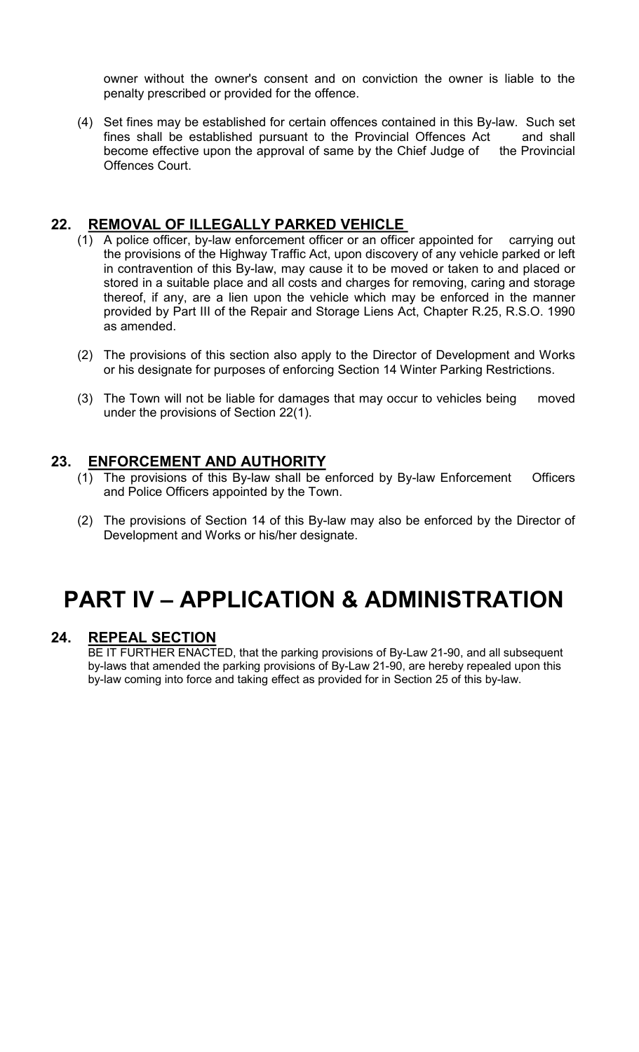owner without the owner's consent and on conviction the owner is liable to the penalty prescribed or provided for the offence.

(4) Set fines may be established for certain offences contained in this By-law. Such set fines shall be established pursuant to the Provincial Offences Act and shall become effective upon the approval of same by the Chief Judge of the Provincial Offences Court.

### **22. REMOVAL OF ILLEGALLY PARKED VEHICLE**

- (1) A police officer, by-law enforcement officer or an officer appointed for carrying out the provisions of the Highway Traffic Act, upon discovery of any vehicle parked or left in contravention of this By-law, may cause it to be moved or taken to and placed or stored in a suitable place and all costs and charges for removing, caring and storage thereof, if any, are a lien upon the vehicle which may be enforced in the manner provided by Part III of the Repair and Storage Liens Act, Chapter R.25, R.S.O. 1990 as amended.
- (2) The provisions of this section also apply to the Director of Development and Works or his designate for purposes of enforcing Section 14 Winter Parking Restrictions.
- (3) The Town will not be liable for damages that may occur to vehicles being moved under the provisions of Section 22(1).

#### **23. ENFORCEMENT AND AUTHORITY**

- (1) The provisions of this By-law shall be enforced by By-law Enforcement Officers and Police Officers appointed by the Town.
- (2) The provisions of Section 14 of this By-law may also be enforced by the Director of Development and Works or his/her designate.

# **PART IV – APPLICATION & ADMINISTRATION**

#### **24. REPEAL SECTION**

BE IT FURTHER ENACTED, that the parking provisions of By-Law 21-90, and all subsequent by-laws that amended the parking provisions of By-Law 21-90, are hereby repealed upon this by-law coming into force and taking effect as provided for in Section 25 of this by-law.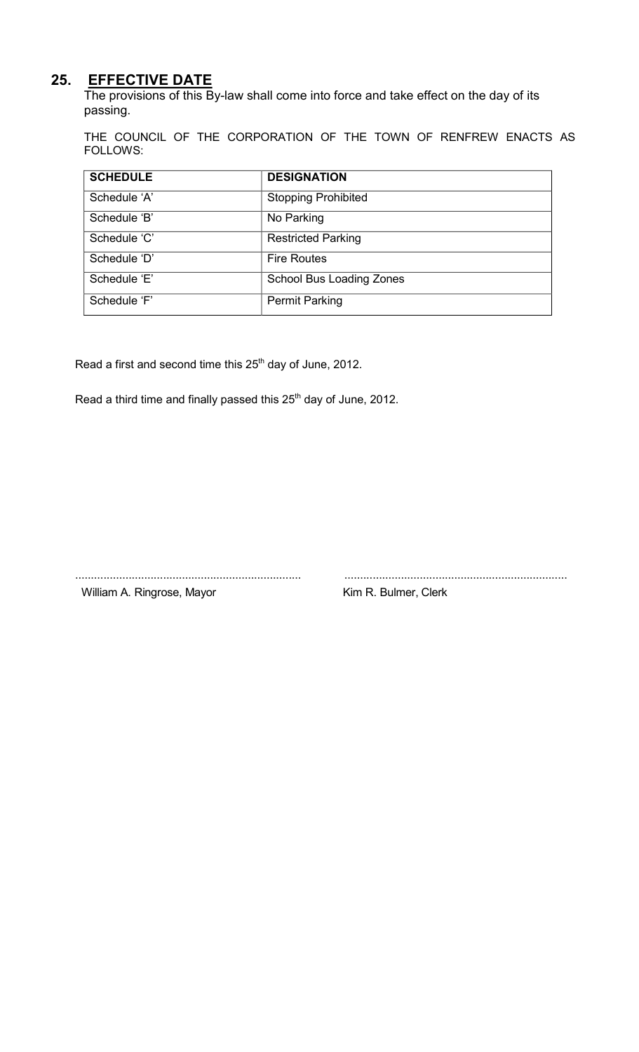# **25. EFFECTIVE DATE**

The provisions of this By-law shall come into force and take effect on the day of its passing.

THE COUNCIL OF THE CORPORATION OF THE TOWN OF RENFREW ENACTS AS FOLLOWS:

| <b>SCHEDULE</b> | <b>DESIGNATION</b>              |
|-----------------|---------------------------------|
| Schedule 'A'    | <b>Stopping Prohibited</b>      |
| Schedule 'B'    | No Parking                      |
| Schedule 'C'    | <b>Restricted Parking</b>       |
| Schedule 'D'    | <b>Fire Routes</b>              |
| Schedule 'E'    | <b>School Bus Loading Zones</b> |
| Schedule 'F'    | <b>Permit Parking</b>           |

Read a first and second time this 25<sup>th</sup> day of June, 2012.

Read a third time and finally passed this 25<sup>th</sup> day of June, 2012.

........................................................................ ....................................................................... William A. Ringrose, Mayor Kim R. Bulmer, Clerk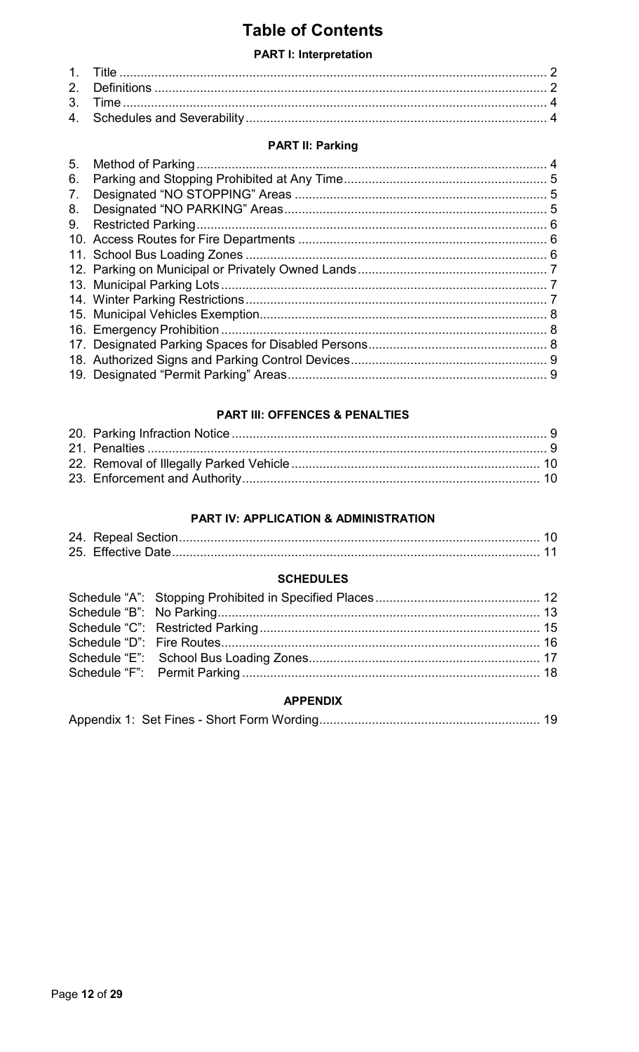# **Table of Contents**

#### **PART I: Interpretation**

#### **PART II: Parking**

| 5. |  |
|----|--|
| 6. |  |
| 7. |  |
| 8. |  |
| 9. |  |
|    |  |
|    |  |
|    |  |
|    |  |
|    |  |
|    |  |
|    |  |
|    |  |
|    |  |
|    |  |
|    |  |

#### **PART III: OFFENCES & PENALTIES**

#### PART IV: APPLICATION & ADMINISTRATION

#### **SCHEDULES**

#### **APPENDIX**

|--|--|--|--|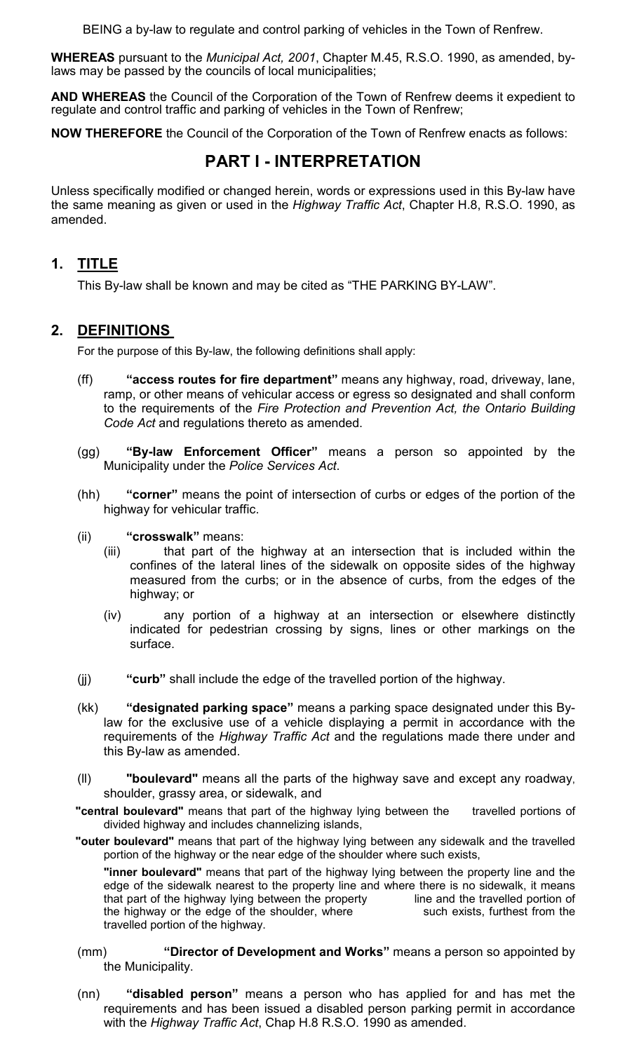BEING a by-law to regulate and control parking of vehicles in the Town of Renfrew.

**WHEREAS** pursuant to the *Municipal Act, 2001*, Chapter M.45, R.S.O. 1990, as amended, bylaws may be passed by the councils of local municipalities;

**AND WHEREAS** the Council of the Corporation of the Town of Renfrew deems it expedient to regulate and control traffic and parking of vehicles in the Town of Renfrew;

**NOW THEREFORE** the Council of the Corporation of the Town of Renfrew enacts as follows:

# **PART I - INTERPRETATION**

Unless specifically modified or changed herein, words or expressions used in this By-law have the same meaning as given or used in the *Highway Traffic Act*, Chapter H.8, R.S.O. 1990, as amended.

# **1. TITLE**

This By-law shall be known and may be cited as "THE PARKING BY-LAW".

### **2. DEFINITIONS**

For the purpose of this By-law, the following definitions shall apply:

- (ff) **"access routes for fire department"** means any highway, road, driveway, lane, ramp, or other means of vehicular access or egress so designated and shall conform to the requirements of the *Fire Protection and Prevention Act, the Ontario Building Code Act* and regulations thereto as amended.
- (gg) **"By-law Enforcement Officer"** means a person so appointed by the Municipality under the *Police Services Act*.
- (hh) **"corner"** means the point of intersection of curbs or edges of the portion of the highway for vehicular traffic.
- (ii) **"crosswalk"** means:
	- (iii) that part of the highway at an intersection that is included within the confines of the lateral lines of the sidewalk on opposite sides of the highway measured from the curbs; or in the absence of curbs, from the edges of the highway; or
	- (iv) any portion of a highway at an intersection or elsewhere distinctly indicated for pedestrian crossing by signs, lines or other markings on the surface.
- (jj) **"curb"** shall include the edge of the travelled portion of the highway.
- (kk) **"designated parking space"** means a parking space designated under this Bylaw for the exclusive use of a vehicle displaying a permit in accordance with the requirements of the *Highway Traffic Act* and the regulations made there under and this By-law as amended.
- (ll) **"boulevard"** means all the parts of the highway save and except any roadway, shoulder, grassy area, or sidewalk, and
- **"central boulevard"** means that part of the highway lying between the travelled portions of divided highway and includes channelizing islands,
- **"outer boulevard"** means that part of the highway lying between any sidewalk and the travelled portion of the highway or the near edge of the shoulder where such exists,

**"inner boulevard"** means that part of the highway lying between the property line and the edge of the sidewalk nearest to the property line and where there is no sidewalk, it means that part of the highway lying between the property line and the travelled portion of the highway or the edge of the shoulder, where such exists, furthest from the travelled portion of the highway.

- (mm) **"Director of Development and Works"** means a person so appointed by the Municipality.
- (nn) **"disabled person"** means a person who has applied for and has met the requirements and has been issued a disabled person parking permit in accordance with the *Highway Traffic Act*, Chap H.8 R.S.O. 1990 as amended.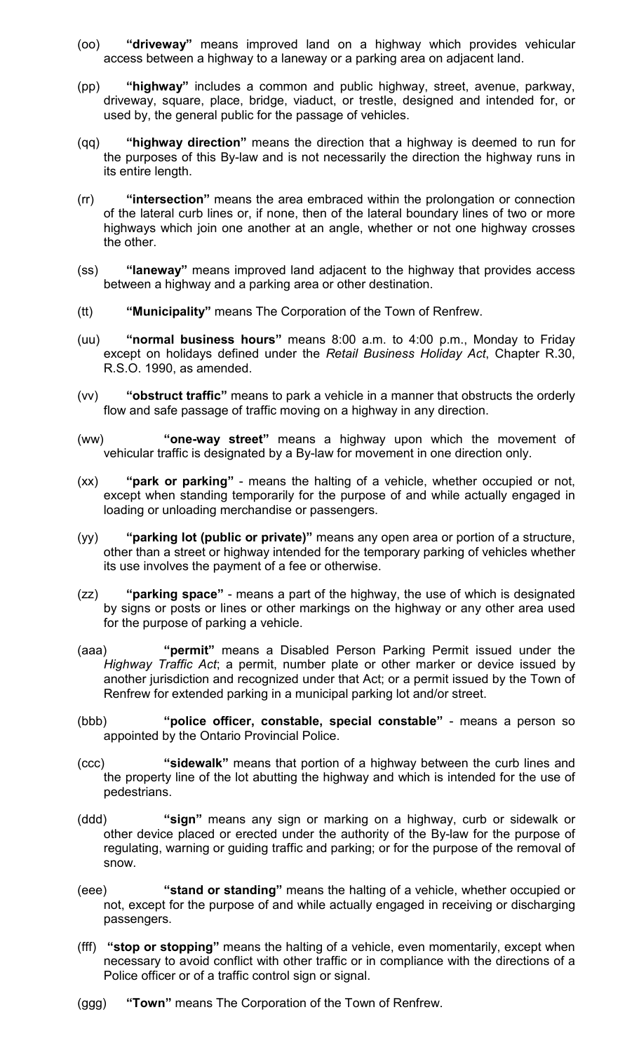- (oo) **"driveway"** means improved land on a highway which provides vehicular access between a highway to a laneway or a parking area on adjacent land.
- (pp) **"highway"** includes a common and public highway, street, avenue, parkway, driveway, square, place, bridge, viaduct, or trestle, designed and intended for, or used by, the general public for the passage of vehicles.
- (qq) **"highway direction"** means the direction that a highway is deemed to run for the purposes of this By-law and is not necessarily the direction the highway runs in its entire length.
- (rr) **"intersection"** means the area embraced within the prolongation or connection of the lateral curb lines or, if none, then of the lateral boundary lines of two or more highways which join one another at an angle, whether or not one highway crosses the other.
- (ss) **"laneway"** means improved land adjacent to the highway that provides access between a highway and a parking area or other destination.
- (tt) **"Municipality"** means The Corporation of the Town of Renfrew.
- (uu) **"normal business hours"** means 8:00 a.m. to 4:00 p.m., Monday to Friday except on holidays defined under the *Retail Business Holiday Act*, Chapter R.30, R.S.O. 1990, as amended.
- (vv) **"obstruct traffic"** means to park a vehicle in a manner that obstructs the orderly flow and safe passage of traffic moving on a highway in any direction.
- (ww) **"one-way street"** means a highway upon which the movement of vehicular traffic is designated by a By-law for movement in one direction only.
- (xx) **"park or parking"** means the halting of a vehicle, whether occupied or not, except when standing temporarily for the purpose of and while actually engaged in loading or unloading merchandise or passengers.
- (yy) **"parking lot (public or private)"** means any open area or portion of a structure, other than a street or highway intended for the temporary parking of vehicles whether its use involves the payment of a fee or otherwise.
- (zz) **"parking space"** means a part of the highway, the use of which is designated by signs or posts or lines or other markings on the highway or any other area used for the purpose of parking a vehicle.
- (aaa) **"permit"** means a Disabled Person Parking Permit issued under the *Highway Traffic Act*; a permit, number plate or other marker or device issued by another jurisdiction and recognized under that Act; or a permit issued by the Town of Renfrew for extended parking in a municipal parking lot and/or street.
- (bbb) **"police officer, constable, special constable"** means a person so appointed by the Ontario Provincial Police.
- (ccc) **"sidewalk"** means that portion of a highway between the curb lines and the property line of the lot abutting the highway and which is intended for the use of pedestrians.
- (ddd) **"sign"** means any sign or marking on a highway, curb or sidewalk or other device placed or erected under the authority of the By-law for the purpose of regulating, warning or guiding traffic and parking; or for the purpose of the removal of snow.
- (eee) **"stand or standing"** means the halting of a vehicle, whether occupied or not, except for the purpose of and while actually engaged in receiving or discharging passengers.
- (fff) **"stop or stopping"** means the halting of a vehicle, even momentarily, except when necessary to avoid conflict with other traffic or in compliance with the directions of a Police officer or of a traffic control sign or signal.
- (ggg) **"Town"** means The Corporation of the Town of Renfrew.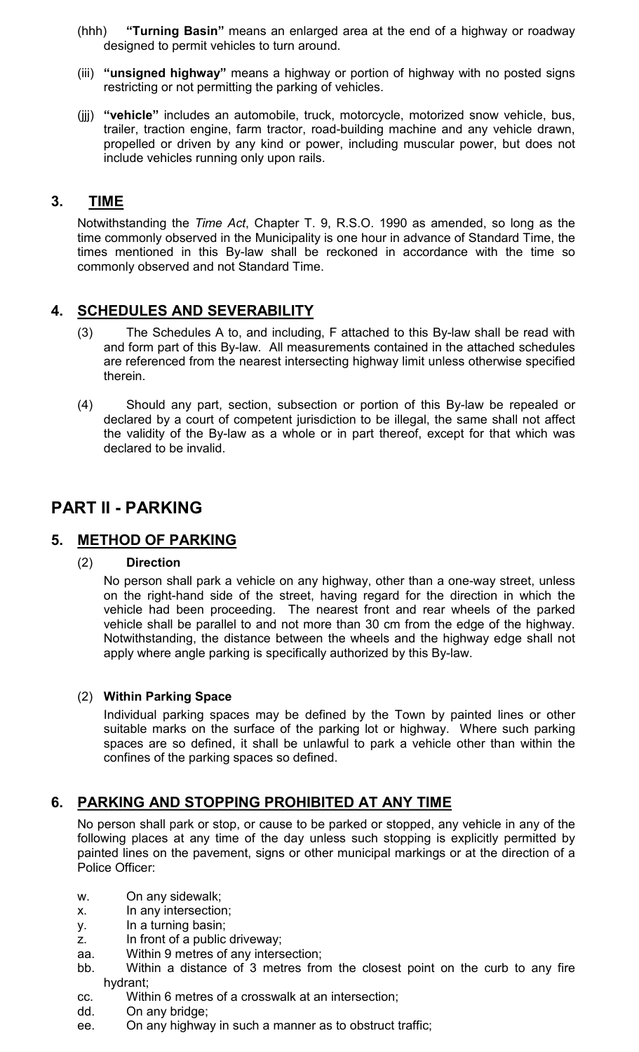- (hhh) **"Turning Basin"** means an enlarged area at the end of a highway or roadway designed to permit vehicles to turn around.
- (iii) **"unsigned highway"** means a highway or portion of highway with no posted signs restricting or not permitting the parking of vehicles.
- (jjj) **"vehicle"** includes an automobile, truck, motorcycle, motorized snow vehicle, bus, trailer, traction engine, farm tractor, road-building machine and any vehicle drawn, propelled or driven by any kind or power, including muscular power, but does not include vehicles running only upon rails.

### **3. TIME**

Notwithstanding the *Time Act*, Chapter T. 9, R.S.O. 1990 as amended, so long as the time commonly observed in the Municipality is one hour in advance of Standard Time, the times mentioned in this By-law shall be reckoned in accordance with the time so commonly observed and not Standard Time.

## **4. SCHEDULES AND SEVERABILITY**

- (3) The Schedules A to, and including, F attached to this By-law shall be read with and form part of this By-law. All measurements contained in the attached schedules are referenced from the nearest intersecting highway limit unless otherwise specified therein.
- (4) Should any part, section, subsection or portion of this By-law be repealed or declared by a court of competent jurisdiction to be illegal, the same shall not affect the validity of the By-law as a whole or in part thereof, except for that which was declared to be invalid.

# **PART II - PARKING**

#### **5. METHOD OF PARKING**

#### (2) **Direction**

No person shall park a vehicle on any highway, other than a one-way street, unless on the right-hand side of the street, having regard for the direction in which the vehicle had been proceeding. The nearest front and rear wheels of the parked vehicle shall be parallel to and not more than 30 cm from the edge of the highway. Notwithstanding, the distance between the wheels and the highway edge shall not apply where angle parking is specifically authorized by this By-law.

#### (2) **Within Parking Space**

Individual parking spaces may be defined by the Town by painted lines or other suitable marks on the surface of the parking lot or highway. Where such parking spaces are so defined, it shall be unlawful to park a vehicle other than within the confines of the parking spaces so defined.

## **6. PARKING AND STOPPING PROHIBITED AT ANY TIME**

No person shall park or stop, or cause to be parked or stopped, any vehicle in any of the following places at any time of the day unless such stopping is explicitly permitted by painted lines on the pavement, signs or other municipal markings or at the direction of a Police Officer:

- w. On any sidewalk;
- x. In any intersection;
- y. In a turning basin;
- z. In front of a public driveway;
- aa. Within 9 metres of any intersection;
- bb. Within a distance of 3 metres from the closest point on the curb to any fire hydrant;
- cc. Within 6 metres of a crosswalk at an intersection;
- dd. On any bridge;
- ee. On any highway in such a manner as to obstruct traffic;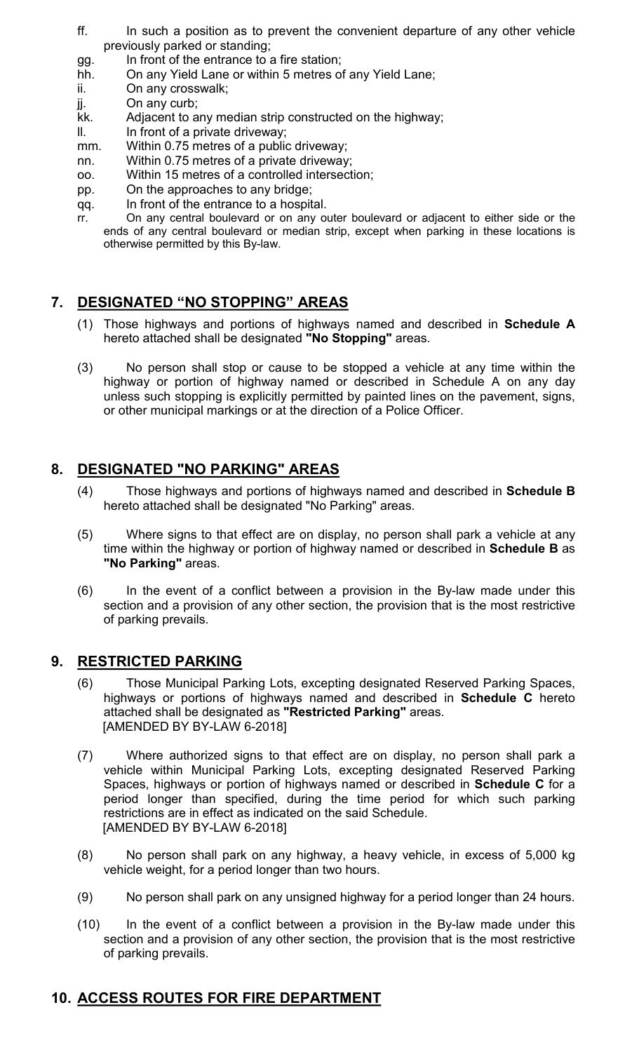- ff. In such a position as to prevent the convenient departure of any other vehicle previously parked or standing;
- gg. In front of the entrance to a fire station;
- hh. On any Yield Lane or within 5 metres of any Yield Lane;
- ii. On any crosswalk;
- jj. On any curb;
- kk. Adjacent to any median strip constructed on the highway;
- II. In front of a private driveway;
- mm. Within 0.75 metres of a public driveway;
- nn. Within 0.75 metres of a private driveway;
- oo. Within 15 metres of a controlled intersection;
- pp. On the approaches to any bridge;
- qq. In front of the entrance to a hospital.
- rr. On any central boulevard or on any outer boulevard or adjacent to either side or the ends of any central boulevard or median strip, except when parking in these locations is otherwise permitted by this By-law.

# **7. DESIGNATED "NO STOPPING" AREAS**

- (1) Those highways and portions of highways named and described in **Schedule A**  hereto attached shall be designated **"No Stopping"** areas.
- (3) No person shall stop or cause to be stopped a vehicle at any time within the highway or portion of highway named or described in Schedule A on any day unless such stopping is explicitly permitted by painted lines on the pavement, signs, or other municipal markings or at the direction of a Police Officer.

### **8. DESIGNATED "NO PARKING" AREAS**

- (4) Those highways and portions of highways named and described in **Schedule B**  hereto attached shall be designated "No Parking" areas.
- (5) Where signs to that effect are on display, no person shall park a vehicle at any time within the highway or portion of highway named or described in **Schedule B** as **"No Parking"** areas.
- (6) In the event of a conflict between a provision in the By-law made under this section and a provision of any other section, the provision that is the most restrictive of parking prevails.

#### **9. RESTRICTED PARKING**

- (6) Those Municipal Parking Lots, excepting designated Reserved Parking Spaces, highways or portions of highways named and described in **Schedule C** hereto attached shall be designated as **"Restricted Parking"** areas. [AMENDED BY BY-LAW 6-2018]
- (7) Where authorized signs to that effect are on display, no person shall park a vehicle within Municipal Parking Lots, excepting designated Reserved Parking Spaces, highways or portion of highways named or described in **Schedule C** for a period longer than specified, during the time period for which such parking restrictions are in effect as indicated on the said Schedule. [AMENDED BY BY-LAW 6-2018]
- (8) No person shall park on any highway, a heavy vehicle, in excess of 5,000 kg vehicle weight, for a period longer than two hours.
- (9) No person shall park on any unsigned highway for a period longer than 24 hours.
- (10) In the event of a conflict between a provision in the By-law made under this section and a provision of any other section, the provision that is the most restrictive of parking prevails.

#### **10. ACCESS ROUTES FOR FIRE DEPARTMENT**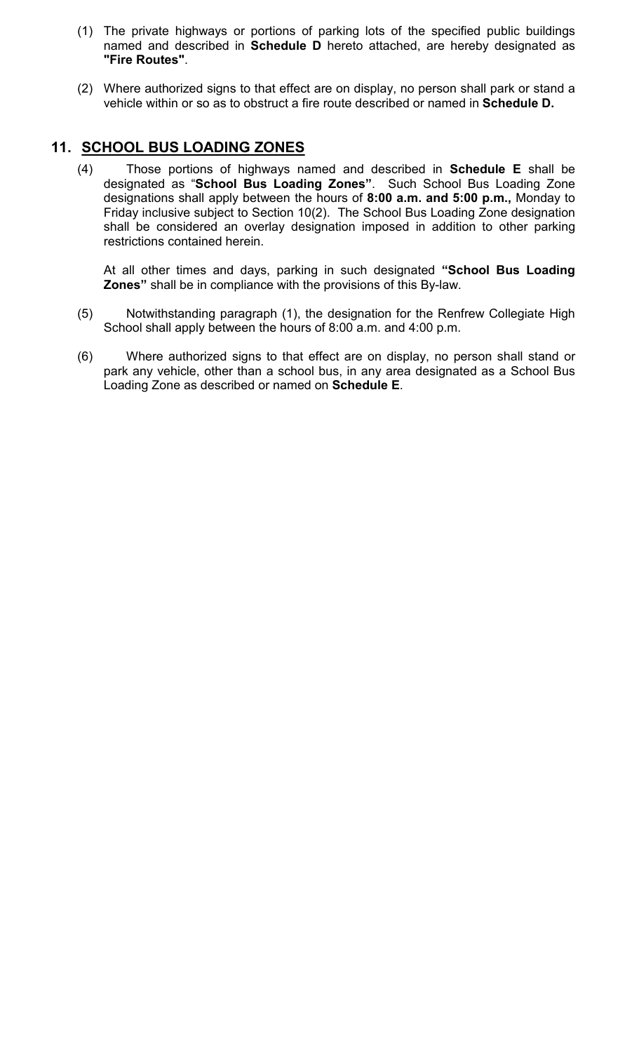- (1) The private highways or portions of parking lots of the specified public buildings named and described in **Schedule D** hereto attached, are hereby designated as **"Fire Routes"**.
- (2) Where authorized signs to that effect are on display, no person shall park or stand a vehicle within or so as to obstruct a fire route described or named in **Schedule D.**

### **11. SCHOOL BUS LOADING ZONES**

(4) Those portions of highways named and described in **Schedule E** shall be designated as "**School Bus Loading Zones"**. Such School Bus Loading Zone designations shall apply between the hours of **8:00 a.m. and 5:00 p.m.,** Monday to Friday inclusive subject to Section 10(2). The School Bus Loading Zone designation shall be considered an overlay designation imposed in addition to other parking restrictions contained herein.

At all other times and days, parking in such designated **"School Bus Loading Zones"** shall be in compliance with the provisions of this By-law.

- (5) Notwithstanding paragraph (1), the designation for the Renfrew Collegiate High School shall apply between the hours of 8:00 a.m. and 4:00 p.m.
- (6) Where authorized signs to that effect are on display, no person shall stand or park any vehicle, other than a school bus, in any area designated as a School Bus Loading Zone as described or named on **Schedule E**.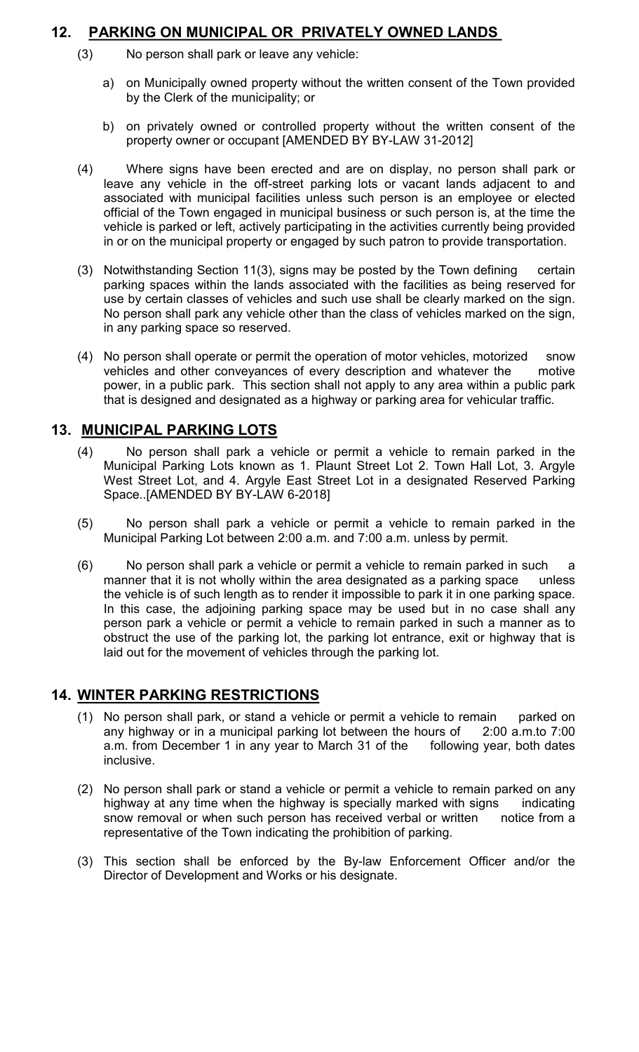## **12. PARKING ON MUNICIPAL OR PRIVATELY OWNED LANDS**

- (3) No person shall park or leave any vehicle:
	- a) on Municipally owned property without the written consent of the Town provided by the Clerk of the municipality; or
	- b) on privately owned or controlled property without the written consent of the property owner or occupant [AMENDED BY BY-LAW 31-2012]
- (4) Where signs have been erected and are on display, no person shall park or leave any vehicle in the off-street parking lots or vacant lands adjacent to and associated with municipal facilities unless such person is an employee or elected official of the Town engaged in municipal business or such person is, at the time the vehicle is parked or left, actively participating in the activities currently being provided in or on the municipal property or engaged by such patron to provide transportation.
- (3) Notwithstanding Section 11(3), signs may be posted by the Town defining certain parking spaces within the lands associated with the facilities as being reserved for use by certain classes of vehicles and such use shall be clearly marked on the sign. No person shall park any vehicle other than the class of vehicles marked on the sign, in any parking space so reserved.
- (4) No person shall operate or permit the operation of motor vehicles, motorized snow vehicles and other conveyances of every description and whatever the motive power, in a public park. This section shall not apply to any area within a public park that is designed and designated as a highway or parking area for vehicular traffic.

## **13. MUNICIPAL PARKING LOTS**

- (4) No person shall park a vehicle or permit a vehicle to remain parked in the Municipal Parking Lots known as 1. Plaunt Street Lot 2. Town Hall Lot, 3. Argyle West Street Lot, and 4. Argyle East Street Lot in a designated Reserved Parking Space..[AMENDED BY BY-LAW 6-2018]
- (5) No person shall park a vehicle or permit a vehicle to remain parked in the Municipal Parking Lot between 2:00 a.m. and 7:00 a.m. unless by permit.
- (6) No person shall park a vehicle or permit a vehicle to remain parked in such a manner that it is not wholly within the area designated as a parking space unless the vehicle is of such length as to render it impossible to park it in one parking space. In this case, the adjoining parking space may be used but in no case shall any person park a vehicle or permit a vehicle to remain parked in such a manner as to obstruct the use of the parking lot, the parking lot entrance, exit or highway that is laid out for the movement of vehicles through the parking lot.

## **14. WINTER PARKING RESTRICTIONS**

- (1) No person shall park, or stand a vehicle or permit a vehicle to remain parked on any highway or in a municipal parking lot between the hours of 2:00 a.m.to 7:00 a.m. from December 1 in any year to March 31 of the following year, both dates inclusive.
- (2) No person shall park or stand a vehicle or permit a vehicle to remain parked on any highway at any time when the highway is specially marked with signs indicating snow removal or when such person has received verbal or written notice from a representative of the Town indicating the prohibition of parking.
- (3) This section shall be enforced by the By-law Enforcement Officer and/or the Director of Development and Works or his designate.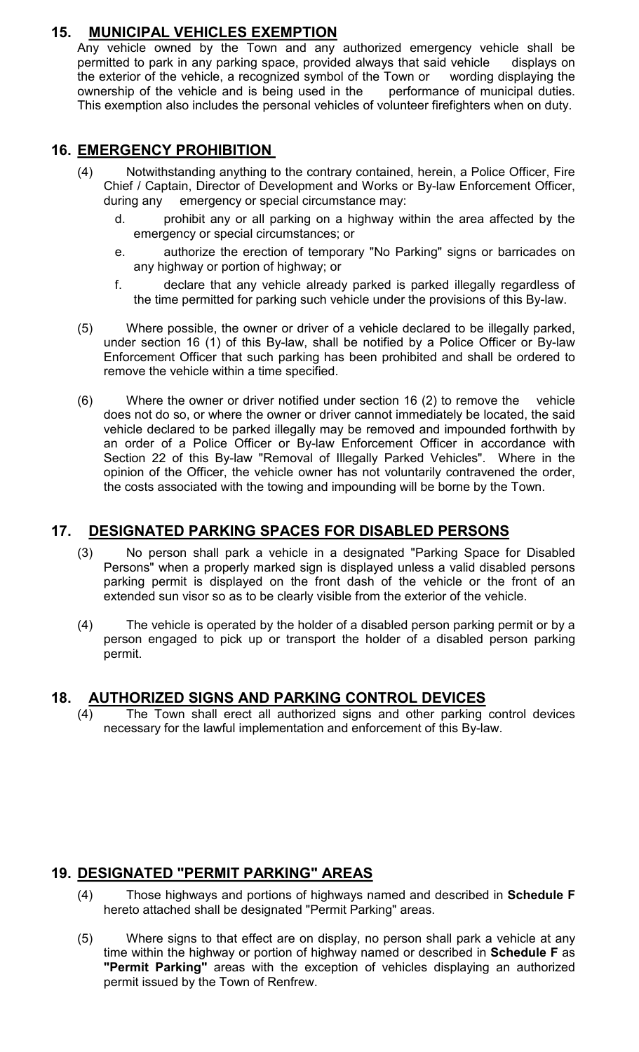# **15. MUNICIPAL VEHICLES EXEMPTION**

Any vehicle owned by the Town and any authorized emergency vehicle shall be permitted to park in any parking space, provided always that said vehicle displays on the exterior of the vehicle, a recognized symbol of the Town or wording displaying the ownership of the vehicle and is being used in the performance of municipal duties. This exemption also includes the personal vehicles of volunteer firefighters when on duty.

### **16. EMERGENCY PROHIBITION**

- (4) Notwithstanding anything to the contrary contained, herein, a Police Officer, Fire Chief / Captain, Director of Development and Works or By-law Enforcement Officer, during any emergency or special circumstance may:
	- d. prohibit any or all parking on a highway within the area affected by the emergency or special circumstances; or
	- e. authorize the erection of temporary "No Parking" signs or barricades on any highway or portion of highway; or
	- f. declare that any vehicle already parked is parked illegally regardless of the time permitted for parking such vehicle under the provisions of this By-law.
- (5) Where possible, the owner or driver of a vehicle declared to be illegally parked, under section 16 (1) of this By-law, shall be notified by a Police Officer or By-law Enforcement Officer that such parking has been prohibited and shall be ordered to remove the vehicle within a time specified.
- (6) Where the owner or driver notified under section 16 (2) to remove the vehicle does not do so, or where the owner or driver cannot immediately be located, the said vehicle declared to be parked illegally may be removed and impounded forthwith by an order of a Police Officer or By-law Enforcement Officer in accordance with Section 22 of this By-law "Removal of Illegally Parked Vehicles". Where in the opinion of the Officer, the vehicle owner has not voluntarily contravened the order, the costs associated with the towing and impounding will be borne by the Town.

### **17. DESIGNATED PARKING SPACES FOR DISABLED PERSONS**

- (3) No person shall park a vehicle in a designated "Parking Space for Disabled Persons" when a properly marked sign is displayed unless a valid disabled persons parking permit is displayed on the front dash of the vehicle or the front of an extended sun visor so as to be clearly visible from the exterior of the vehicle.
- (4) The vehicle is operated by the holder of a disabled person parking permit or by a person engaged to pick up or transport the holder of a disabled person parking permit.

#### **18. AUTHORIZED SIGNS AND PARKING CONTROL DEVICES**

 $(4)$  The Town shall erect all authorized signs and other parking control devices necessary for the lawful implementation and enforcement of this By-law.

## **19. DESIGNATED "PERMIT PARKING" AREAS**

- (4) Those highways and portions of highways named and described in **Schedule F** hereto attached shall be designated "Permit Parking" areas.
- (5) Where signs to that effect are on display, no person shall park a vehicle at any time within the highway or portion of highway named or described in **Schedule F** as **"Permit Parking"** areas with the exception of vehicles displaying an authorized permit issued by the Town of Renfrew.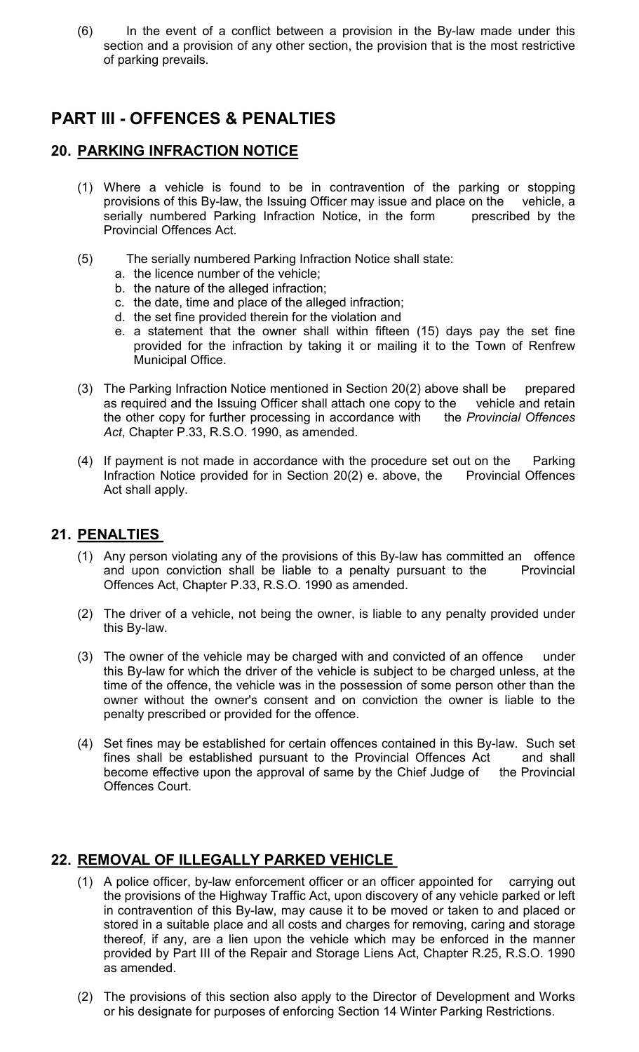(6) In the event of a conflict between a provision in the By-law made under this section and a provision of any other section, the provision that is the most restrictive of parking prevails.

# **PART III - OFFENCES & PENALTIES**

### **20. PARKING INFRACTION NOTICE**

- (1) Where a vehicle is found to be in contravention of the parking or stopping provisions of this By-law, the Issuing Officer may issue and place on the vehicle, a serially numbered Parking Infraction Notice, in the form prescribed by the Provincial Offences Act.
- (5) The serially numbered Parking Infraction Notice shall state:
	- a. the licence number of the vehicle;
	- b. the nature of the alleged infraction;
	- c. the date, time and place of the alleged infraction;
	- d. the set fine provided therein for the violation and
	- e. a statement that the owner shall within fifteen (15) days pay the set fine provided for the infraction by taking it or mailing it to the Town of Renfrew Municipal Office.
- (3) The Parking Infraction Notice mentioned in Section 20(2) above shall be prepared as required and the Issuing Officer shall attach one copy to the vehicle and retain the other copy for further processing in accordance with the *Provincial Offences Act*, Chapter P.33, R.S.O. 1990, as amended.
- (4) If payment is not made in accordance with the procedure set out on the Parking Infraction Notice provided for in Section 20(2) e. above, the Provincial Offences Act shall apply.

## **21. PENALTIES**

- (1) Any person violating any of the provisions of this By-law has committed an offence and upon conviction shall be liable to a penalty pursuant to the Provincial Offences Act, Chapter P.33, R.S.O. 1990 as amended.
- (2) The driver of a vehicle, not being the owner, is liable to any penalty provided under this By-law.
- (3) The owner of the vehicle may be charged with and convicted of an offence under this By-law for which the driver of the vehicle is subject to be charged unless, at the time of the offence, the vehicle was in the possession of some person other than the owner without the owner's consent and on conviction the owner is liable to the penalty prescribed or provided for the offence.
- (4) Set fines may be established for certain offences contained in this By-law. Such set fines shall be established pursuant to the Provincial Offences Act and shall become effective upon the approval of same by the Chief Judge of the Provincial Offences Court.

# **22. REMOVAL OF ILLEGALLY PARKED VEHICLE**

- (1) A police officer, by-law enforcement officer or an officer appointed for carrying out the provisions of the Highway Traffic Act, upon discovery of any vehicle parked or left in contravention of this By-law, may cause it to be moved or taken to and placed or stored in a suitable place and all costs and charges for removing, caring and storage thereof, if any, are a lien upon the vehicle which may be enforced in the manner provided by Part III of the Repair and Storage Liens Act, Chapter R.25, R.S.O. 1990 as amended.
- (2) The provisions of this section also apply to the Director of Development and Works or his designate for purposes of enforcing Section 14 Winter Parking Restrictions.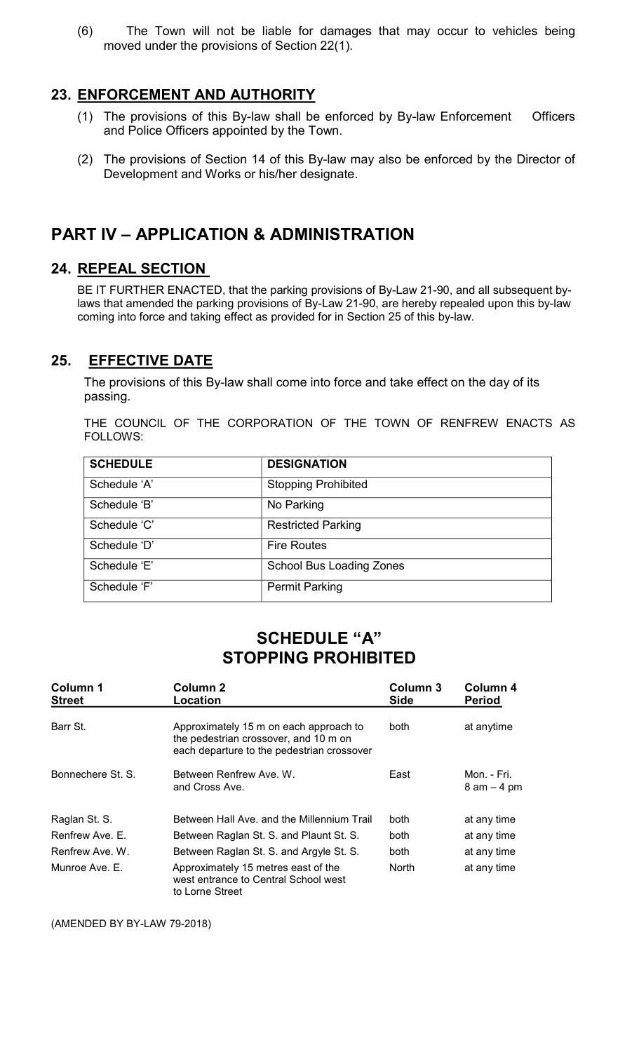(6) The Town will not be liable for damages that may occur to vehicles being moved under the provisions of Section 22(1).

#### **23. ENFORCEMENT AND AUTHORITY**

- (1) The provisions of this By-law shall be enforced by By-law Enforcement Officers and Police Officers appointed by the Town.
- (2) The provisions of Section 14 of this By-law may also be enforced by the Director of Development and Works or his/her designate.

# **PART IV – APPLICATION & ADMINISTRATION**

#### **24. REPEAL SECTION**

BE IT FURTHER ENACTED, that the parking provisions of By-Law 21-90, and all subsequent bylaws that amended the parking provisions of By-Law 21-90, are hereby repealed upon this by-law coming into force and taking effect as provided for in Section 25 of this by-law.

#### **25. EFFECTIVE DATE**

 The provisions of this By-law shall come into force and take effect on the day of its passing.

THE COUNCIL OF THE CORPORATION OF THE TOWN OF RENFREW ENACTS AS FOLLOWS:

| <b>SCHEDULE</b> | <b>DESIGNATION</b>              |
|-----------------|---------------------------------|
| Schedule 'A'    | <b>Stopping Prohibited</b>      |
| Schedule 'B'    | No Parking                      |
| Schedule 'C'    | <b>Restricted Parking</b>       |
| Schedule 'D'    | <b>Fire Routes</b>              |
| Schedule 'E'    | <b>School Bus Loading Zones</b> |
| Schedule 'F'    | <b>Permit Parking</b>           |

# **SCHEDULE "A" STOPPING PROHIBITED**

| Column 1<br><b>Street</b> | Column 2<br>Location                                                                                                          | Column 3<br><b>Side</b> | Column 4<br><b>Period</b>     |
|---------------------------|-------------------------------------------------------------------------------------------------------------------------------|-------------------------|-------------------------------|
| Barr St.                  | Approximately 15 m on each approach to<br>the pedestrian crossover, and 10 m on<br>each departure to the pedestrian crossover | <b>both</b>             | at anytime                    |
| Bonnechere St. S.         | Between Renfrew Ave, W.<br>and Cross Ave.                                                                                     | East                    | Mon. - Fri.<br>$8$ am $-4$ pm |
| Raglan St. S.             | Between Hall Ave, and the Millennium Trail                                                                                    | both.                   | at any time                   |
| Renfrew Ave, E.           | Between Raglan St. S. and Plaunt St. S.                                                                                       | <b>both</b>             | at any time                   |
| Renfrew Ave. W.           | Between Raglan St. S. and Argyle St. S.                                                                                       | both.                   | at any time                   |
| Munroe Ave. E.            | Approximately 15 metres east of the<br>west entrance to Central School west<br>to Lorne Street                                | North                   | at any time                   |

(AMENDED BY BY-LAW 79-2018)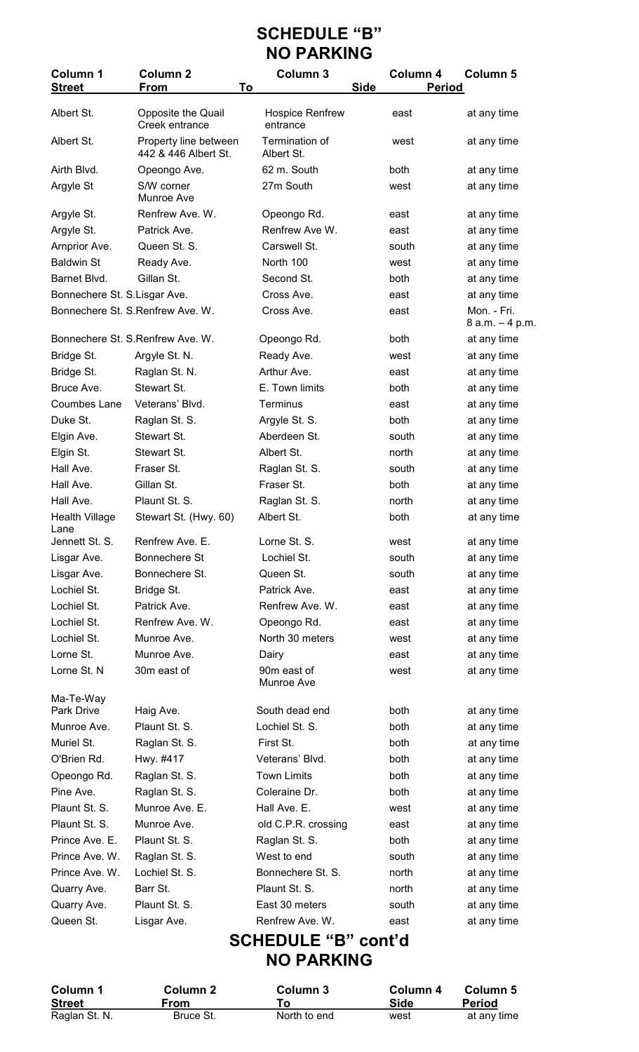# **SCHEDULE "B" NO PARKING**

| Column 1<br><b>Street</b>         | <b>Column 2</b><br>To<br><b>From</b>          | Column 3                           | <b>Side</b>                | Column 4<br><b>Period</b> | <b>Column 5</b>                |  |  |  |
|-----------------------------------|-----------------------------------------------|------------------------------------|----------------------------|---------------------------|--------------------------------|--|--|--|
| Albert St.                        | Opposite the Quail<br>Creek entrance          | <b>Hospice Renfrew</b><br>entrance |                            | east                      | at any time                    |  |  |  |
| Albert St.                        | Property line between<br>442 & 446 Albert St. | Termination of<br>Albert St.       |                            | west                      | at any time                    |  |  |  |
| Airth Blvd.                       | Opeongo Ave.                                  | 62 m. South                        |                            | both                      | at any time                    |  |  |  |
| Argyle St                         | S/W corner<br>Munroe Ave                      | 27m South                          |                            | west                      | at any time                    |  |  |  |
| Argyle St.                        | Renfrew Ave. W.                               | Opeongo Rd.                        |                            | east                      | at any time                    |  |  |  |
| Argyle St.                        | Patrick Ave.                                  | Renfrew Ave W.                     |                            | east                      | at any time                    |  |  |  |
| Arnprior Ave.                     | Queen St. S.                                  | Carswell St.                       |                            | south                     | at any time                    |  |  |  |
| <b>Baldwin St</b>                 | Ready Ave.                                    | North 100                          |                            | west                      | at any time                    |  |  |  |
| Barnet Blvd.                      | Gillan St.                                    | Second St.                         |                            | both                      | at any time                    |  |  |  |
| Bonnechere St. S.Lisgar Ave.      |                                               | Cross Ave.                         |                            | east                      | at any time                    |  |  |  |
| Bonnechere St. S. Renfrew Ave. W. |                                               | Cross Ave.                         |                            | east                      | Mon. - Fri.<br>8 a.m. - 4 p.m. |  |  |  |
| Bonnechere St. S. Renfrew Ave. W. |                                               | Opeongo Rd.                        |                            | both                      | at any time                    |  |  |  |
| Bridge St.                        | Argyle St. N.                                 | Ready Ave.                         |                            | west                      | at any time                    |  |  |  |
| Bridge St.                        | Raglan St. N.                                 | Arthur Ave.                        |                            | east                      | at any time                    |  |  |  |
| Bruce Ave.                        | Stewart St.                                   | E. Town limits                     |                            | both                      | at any time                    |  |  |  |
| Coumbes Lane                      | Veterans' Blvd.                               | <b>Terminus</b>                    |                            | east                      | at any time                    |  |  |  |
| Duke St.                          | Raglan St. S.                                 | Argyle St. S.                      |                            | both                      | at any time                    |  |  |  |
| Elgin Ave.                        | Stewart St.                                   | Aberdeen St.                       |                            | south                     | at any time                    |  |  |  |
| Elgin St.                         | Stewart St.                                   | Albert St.                         |                            | north                     | at any time                    |  |  |  |
| Hall Ave.                         | Fraser St.                                    | Raglan St. S.                      |                            | south                     | at any time                    |  |  |  |
| Hall Ave.                         | Gillan St.                                    | Fraser St.                         |                            | both                      | at any time                    |  |  |  |
| Hall Ave.                         | Plaunt St. S.                                 | Raglan St. S.                      |                            | north                     | at any time                    |  |  |  |
| <b>Health Village</b><br>Lane     | Stewart St. (Hwy. 60)                         | Albert St.                         |                            | both                      | at any time                    |  |  |  |
| Jennett St. S.                    | Renfrew Ave. E.                               | Lorne St. S.                       |                            | west                      | at any time                    |  |  |  |
| Lisgar Ave.                       | Bonnechere St                                 | Lochiel St.                        |                            | south                     | at any time                    |  |  |  |
| Lisgar Ave.                       | Bonnechere St.                                | Queen St.                          |                            | south                     | at any time                    |  |  |  |
| Lochiel St.                       | Bridge St.                                    | Patrick Ave.                       |                            | east                      | at any time                    |  |  |  |
| Lochiel St.                       | Patrick Ave.                                  | Renfrew Ave. W.                    |                            | east                      | at any time                    |  |  |  |
| Lochiel St.                       | Renfrew Ave. W.                               | Opeongo Rd.<br>North 30 meters     |                            | east                      | at any time                    |  |  |  |
| Lochiel St.<br>Lorne St.          | Munroe Ave.<br>Munroe Ave.                    |                                    |                            | west                      | at any time                    |  |  |  |
| Lorne St. N                       | 30m east of                                   | Dairy<br>90m east of               |                            | east<br>west              | at any time                    |  |  |  |
| Ma-Te-Way                         |                                               | Munroe Ave                         |                            |                           | at any time                    |  |  |  |
| <b>Park Drive</b>                 | Haig Ave.                                     | South dead end                     |                            | both                      | at any time                    |  |  |  |
| Munroe Ave.                       | Plaunt St. S.                                 | Lochiel St. S.                     |                            | both                      | at any time                    |  |  |  |
| Muriel St.                        | Raglan St. S.                                 | First St.                          |                            | both                      | at any time                    |  |  |  |
| O'Brien Rd.                       | Hwy. #417                                     | Veterans' Blvd.                    |                            | both                      | at any time                    |  |  |  |
| Opeongo Rd.                       | Raglan St. S.                                 | <b>Town Limits</b>                 |                            | both                      | at any time                    |  |  |  |
| Pine Ave.                         | Raglan St. S.                                 | Coleraine Dr.                      |                            | both                      | at any time                    |  |  |  |
| Plaunt St. S.                     | Munroe Ave. E.                                | Hall Ave. E.                       |                            | west                      | at any time                    |  |  |  |
| Plaunt St. S.                     | Munroe Ave.                                   | old C.P.R. crossing                |                            | east                      | at any time                    |  |  |  |
| Prince Ave. E.                    | Plaunt St. S.                                 | Raglan St. S.                      |                            | both                      | at any time                    |  |  |  |
| Prince Ave. W.                    | Raglan St. S.                                 | West to end                        |                            | south                     | at any time                    |  |  |  |
| Prince Ave. W.                    | Lochiel St. S.                                | Bonnechere St. S.                  |                            | north                     | at any time                    |  |  |  |
| Quarry Ave.                       | Barr St.                                      | Plaunt St. S.                      |                            | north                     | at any time                    |  |  |  |
| Quarry Ave.                       | Plaunt St. S.                                 | East 30 meters                     |                            | south                     | at any time                    |  |  |  |
| Queen St.                         | Lisgar Ave.                                   | Renfrew Ave. W.                    |                            | east                      | at any time                    |  |  |  |
|                                   |                                               |                                    | <b>SCHEDULE "B" cont'd</b> |                           |                                |  |  |  |

**NO PARKING** 

| Column 1      | Column 2    | Column 3     | Column 4 | Column 5      |
|---------------|-------------|--------------|----------|---------------|
| <b>Street</b> | <b>From</b> |              | Side     | <b>Period</b> |
| Raglan St. N. | Bruce St.   | North to end | west     | at any time   |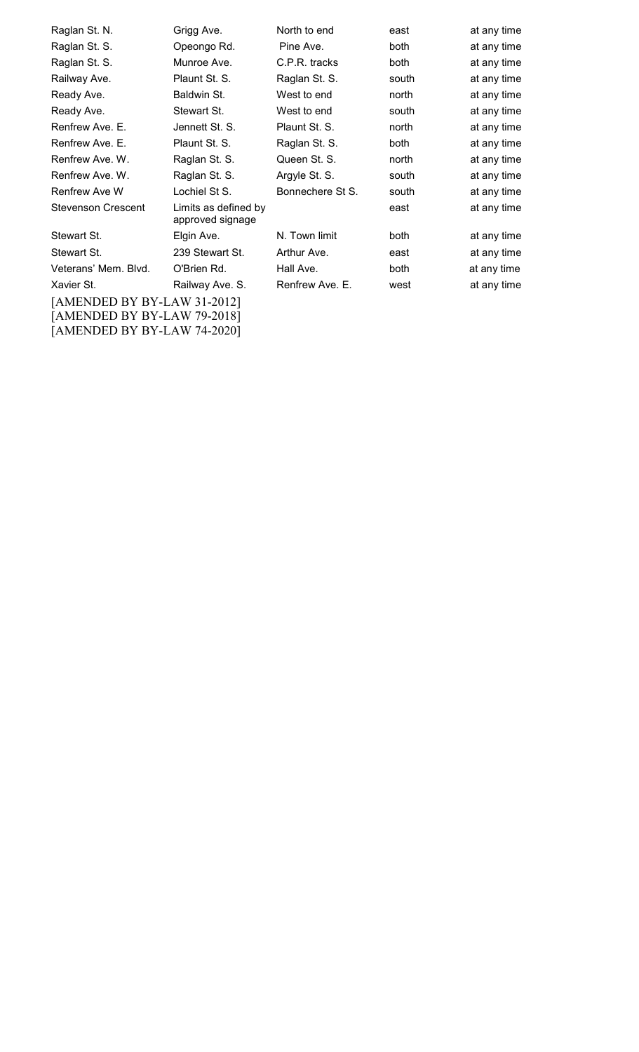| Raglan St. N.                                              | Grigg Ave.                               | North to end     | east        | at any time |  |  |
|------------------------------------------------------------|------------------------------------------|------------------|-------------|-------------|--|--|
| Raglan St. S.                                              | Opeongo Rd.                              | Pine Ave.        | both        | at any time |  |  |
| Raglan St. S.                                              | Munroe Ave.                              | C.P.R. tracks    | <b>both</b> | at any time |  |  |
| Railway Ave.                                               | Plaunt St. S.                            | Raglan St. S.    | south       | at any time |  |  |
| Ready Ave.                                                 | Baldwin St.                              | West to end      | north       | at any time |  |  |
| Ready Ave.                                                 | Stewart St.                              | West to end      | south       | at any time |  |  |
| Renfrew Ave. E.                                            | Jennett St. S.                           | Plaunt St. S.    | north       | at any time |  |  |
| Renfrew Ave. E.                                            | Plaunt St. S.                            | Raglan St. S.    | both        | at any time |  |  |
| Renfrew Ave. W.                                            | Raglan St. S.                            | Queen St. S.     | north       | at any time |  |  |
| Renfrew Ave. W.                                            | Raglan St. S.                            | Argyle St. S.    | south       | at any time |  |  |
| <b>Renfrew Ave W</b>                                       | Lochiel St S.                            | Bonnechere St S. | south       | at any time |  |  |
| <b>Stevenson Crescent</b>                                  | Limits as defined by<br>approved signage |                  | east        | at any time |  |  |
| Stewart St.                                                | Elgin Ave.                               | N. Town limit    | both        | at any time |  |  |
| Stewart St.                                                | 239 Stewart St.                          | Arthur Ave.      | east        | at any time |  |  |
| Veterans' Mem. Blvd.                                       | O'Brien Rd.                              | Hall Ave.        | both        | at any time |  |  |
| Xavier St.                                                 | Railway Ave. S.                          | Renfrew Ave. E.  | west        | at any time |  |  |
| [AMENDED BY BY-LAW 31-2012]<br>[AMENDED BY BY-LAW 79-2018] |                                          |                  |             |             |  |  |

[AMENDED BY BY-LAW 74-2020]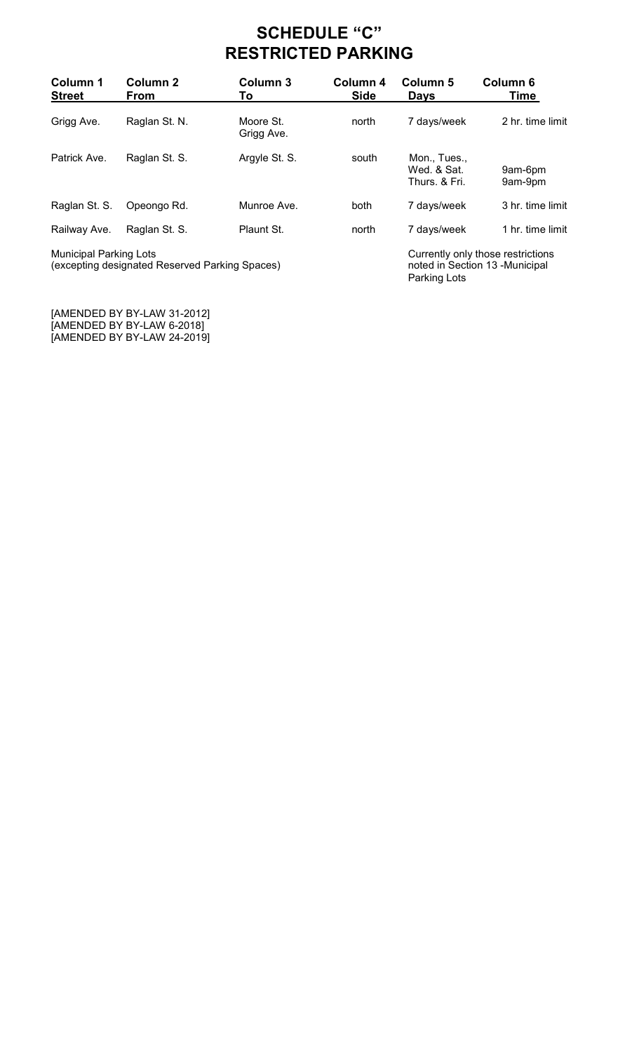# **SCHEDULE "C" RESTRICTED PARKING**

| Column 1<br><b>Street</b>     | <b>Column 2</b><br>From | Column 3<br>To          | Column 4<br><b>Side</b> | Column 5<br><b>Days</b>                      | <b>Column 6</b><br>Time           |
|-------------------------------|-------------------------|-------------------------|-------------------------|----------------------------------------------|-----------------------------------|
| Grigg Ave.                    | Raglan St. N.           | Moore St.<br>Grigg Ave. | north                   | 7 days/week                                  | 2 hr. time limit                  |
| Patrick Ave.                  | Raglan St. S.           | Argyle St. S.           | south                   | Mon., Tues.,<br>Wed. & Sat.<br>Thurs, & Fri. | 9am-6pm<br>9am-9pm                |
| Raglan St. S.                 | Opeongo Rd.             | Munroe Ave.             | both                    | 7 days/week                                  | 3 hr. time limit                  |
| Railway Ave.                  | Raglan St. S.           | Plaunt St.              | north                   | 7 days/week                                  | 1 hr. time limit                  |
| <b>Municipal Parking Lots</b> |                         |                         |                         |                                              | Currently only those restrictions |

Parking Lots

(excepting designated Reserved Parking Spaces) noted in Section 13 -Municipal

[AMENDED BY BY-LAW 31-2012] [AMENDED BY BY-LAW 6-2018] [AMENDED BY BY-LAW 24-2019]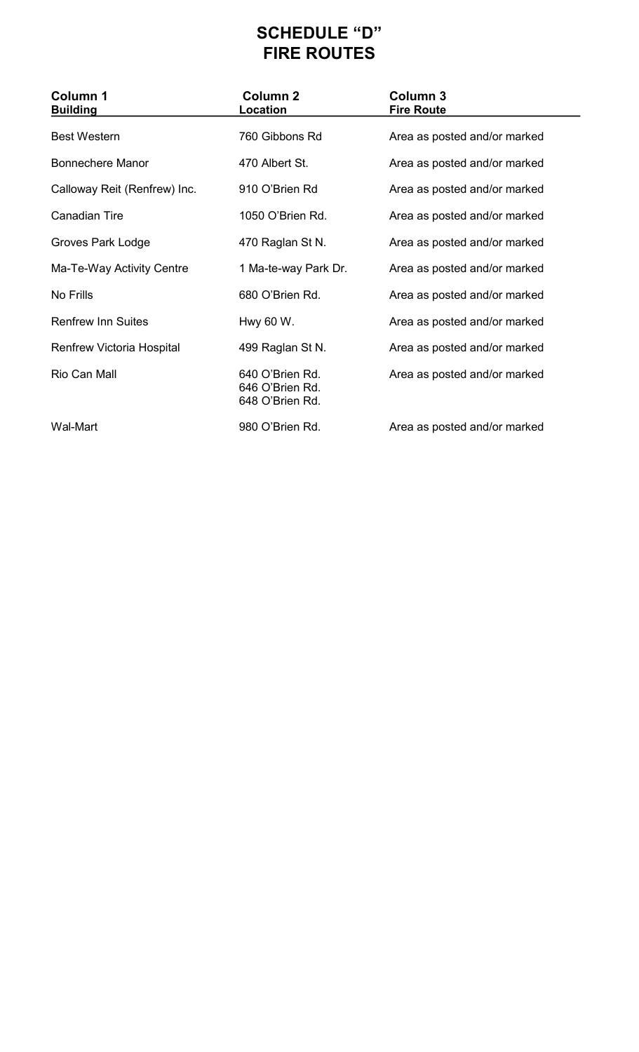# **SCHEDULE "D" FIRE ROUTES**

| <b>Column 1</b><br><b>Building</b> | <b>Column 2</b><br>Location                           | Column 3<br><b>Fire Route</b> |
|------------------------------------|-------------------------------------------------------|-------------------------------|
| <b>Best Western</b>                | 760 Gibbons Rd                                        | Area as posted and/or marked  |
| <b>Bonnechere Manor</b>            | 470 Albert St.                                        | Area as posted and/or marked  |
| Calloway Reit (Renfrew) Inc.       | 910 O'Brien Rd                                        | Area as posted and/or marked  |
| <b>Canadian Tire</b>               | 1050 O'Brien Rd.                                      | Area as posted and/or marked  |
| Groves Park Lodge                  | 470 Raglan St N.                                      | Area as posted and/or marked  |
| Ma-Te-Way Activity Centre          | 1 Ma-te-way Park Dr.                                  | Area as posted and/or marked  |
| No Frills                          | 680 O'Brien Rd.                                       | Area as posted and/or marked  |
| <b>Renfrew Inn Suites</b>          | Hwy 60 W.                                             | Area as posted and/or marked  |
| <b>Renfrew Victoria Hospital</b>   | 499 Raglan St N.                                      | Area as posted and/or marked  |
| Rio Can Mall                       | 640 O'Brien Rd.<br>646 O'Brien Rd.<br>648 O'Brien Rd. | Area as posted and/or marked  |
| Wal-Mart                           | 980 O'Brien Rd.                                       | Area as posted and/or marked  |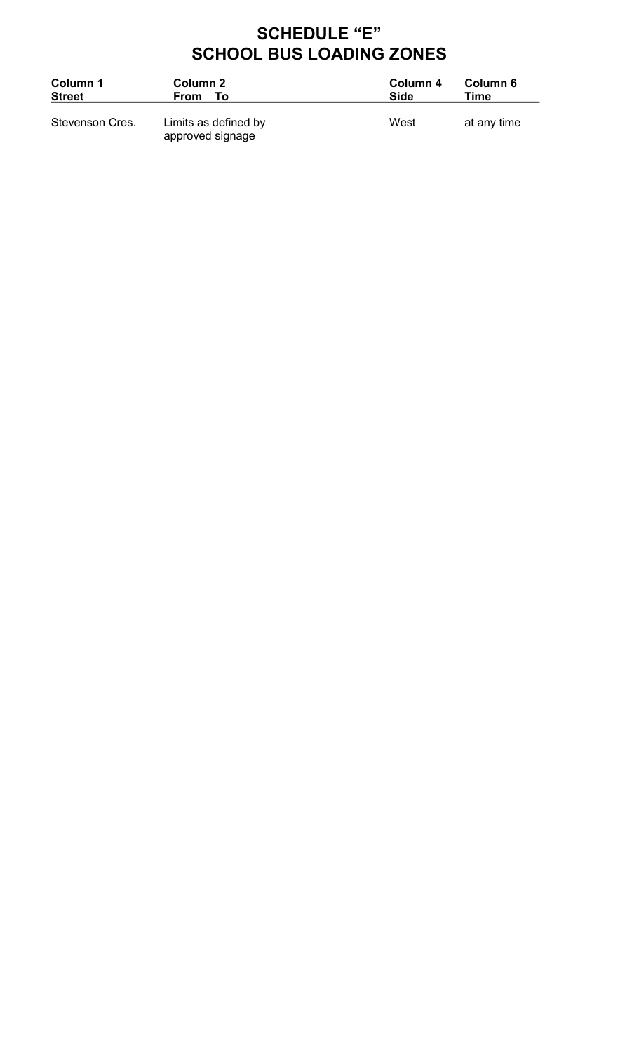# **SCHEDULE "E" SCHOOL BUS LOADING ZONES**

| Column 1<br><b>Street</b> | Column 2<br>From<br>Τo                   | Column 4<br>Side | Column 6<br>Time |
|---------------------------|------------------------------------------|------------------|------------------|
| Stevenson Cres.           | Limits as defined by<br>approved signage | West             | at any time      |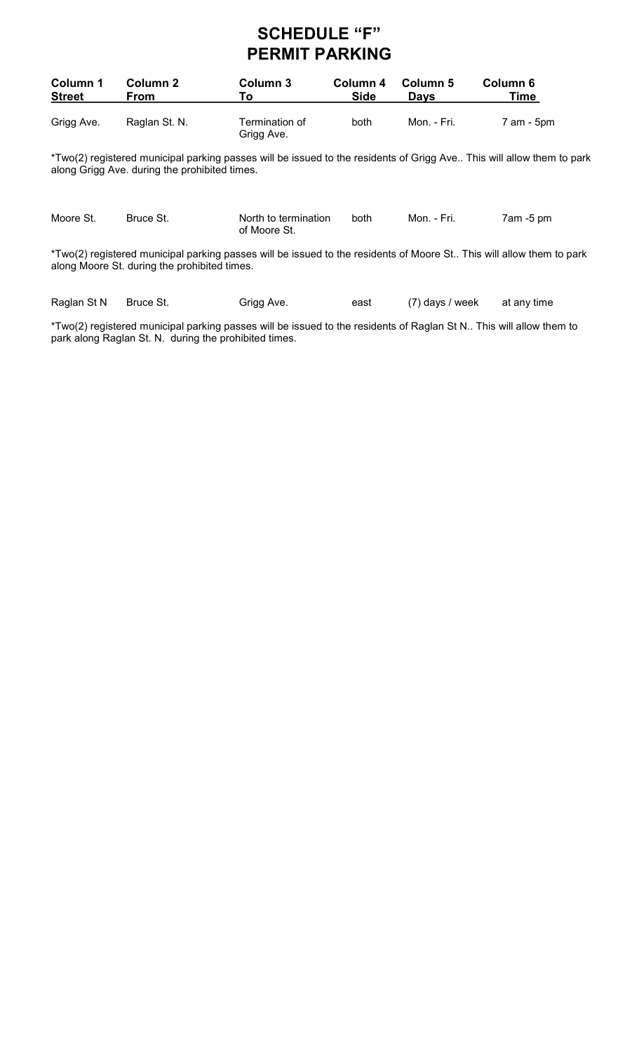# **SCHEDULE "F" PERMIT PARKING**

| Column 1      | Column 2      | Column 3                     | Column 4 | Column 5    | Column 6   |
|---------------|---------------|------------------------------|----------|-------------|------------|
| <b>Street</b> | From          | то.                          | Side     | <b>Davs</b> | Time       |
| Grigg Ave.    | Raglan St. N. | Termination of<br>Grigg Ave. | both     | Mon. - Fri. | 7 am - 5pm |

\*Two(2) registered municipal parking passes will be issued to the residents of Grigg Ave.. This will allow them to park along Grigg Ave. during the prohibited times.

| Moore St. | Bruce St. | North to termination<br>of Moore St.                                                                                 | <b>both</b> | Mon. - Fri. | $7$ am -5 pm |
|-----------|-----------|----------------------------------------------------------------------------------------------------------------------|-------------|-------------|--------------|
|           |           | *Two(2) registered municipal parking passes will be issued to the residents of Moore St This will allow them to park |             |             |              |

along Moore St. during the prohibited times.

| Raglan St N Bruce St. | Grigg Ave. | east | (7) days / week | at anv time |
|-----------------------|------------|------|-----------------|-------------|

\*Two(2) registered municipal parking passes will be issued to the residents of Raglan St N.. This will allow them to park along Raglan St. N. during the prohibited times.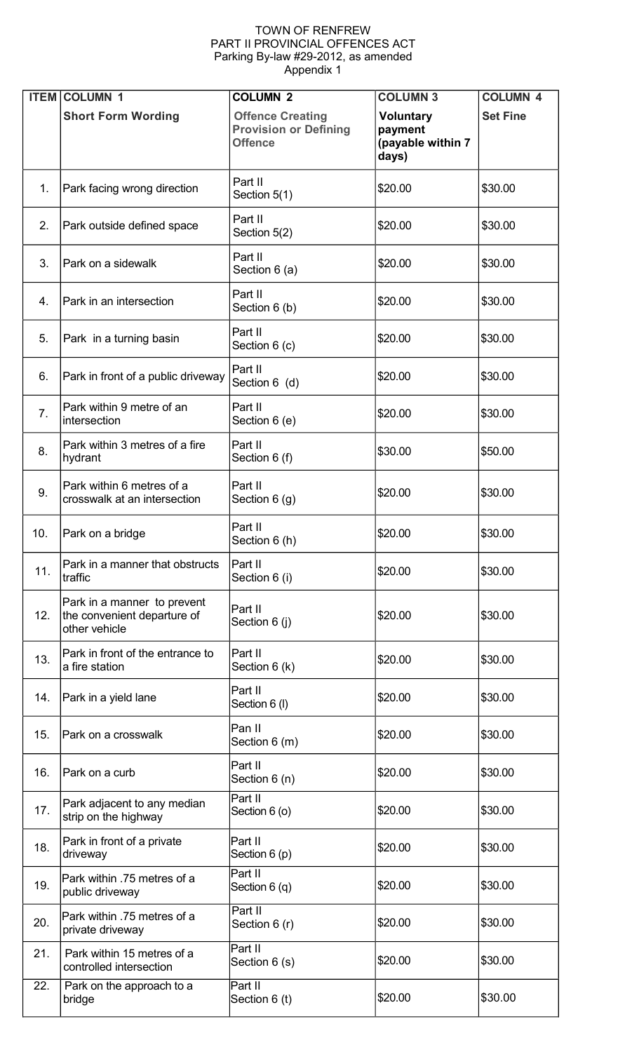#### TOWN OF RENFREW PART II PROVINCIAL OFFENCES ACT Parking By-law #29-2012, as amended Appendix 1

| <b>ITEM</b>    | <b>COLUMN 1</b>                                                             | <b>COLUMN 2</b>                                                           | <b>COLUMN 3</b>                                           | <b>COLUMN 4</b> |
|----------------|-----------------------------------------------------------------------------|---------------------------------------------------------------------------|-----------------------------------------------------------|-----------------|
|                | <b>Short Form Wording</b>                                                   | <b>Offence Creating</b><br><b>Provision or Defining</b><br><b>Offence</b> | <b>Voluntary</b><br>payment<br>(payable within 7<br>days) | <b>Set Fine</b> |
| 1.             | Park facing wrong direction                                                 | Part II<br>Section 5(1)                                                   | \$20.00                                                   | \$30.00         |
| 2.             | Park outside defined space                                                  | Part II<br>Section 5(2)                                                   | \$20.00                                                   | \$30.00         |
| 3.             | Park on a sidewalk                                                          | Part II<br>Section 6 (a)                                                  | \$20.00                                                   | \$30.00         |
| $4_{-}$        | Park in an intersection                                                     | Part II<br>Section 6 (b)                                                  | \$20.00                                                   | \$30.00         |
| 5.             | Park in a turning basin                                                     | Part II<br>Section 6 (c)                                                  | \$20.00                                                   | \$30.00         |
| 6.             | Park in front of a public driveway                                          | Part II<br>Section 6 (d)                                                  | \$20.00                                                   | \$30.00         |
| 7 <sub>1</sub> | Park within 9 metre of an<br>intersection                                   | Part II<br>Section 6 (e)                                                  | \$20.00                                                   | \$30.00         |
| 8.             | Park within 3 metres of a fire<br>hydrant                                   | Part II<br>Section 6 (f)                                                  | \$30.00                                                   | \$50.00         |
| 9.             | Park within 6 metres of a<br>crosswalk at an intersection                   | Part II<br>Section $6(g)$                                                 | \$20.00                                                   | \$30.00         |
| 10.            | Park on a bridge                                                            | Part II<br>Section 6 (h)                                                  | \$20.00                                                   | \$30.00         |
| 11.            | Park in a manner that obstructs<br>traffic                                  | Part II<br>Section 6 (i)                                                  | \$20.00                                                   | \$30.00         |
| 12.            | Park in a manner to prevent<br>the convenient departure of<br>other vehicle | Part II<br>Section 6 (j)                                                  | \$20.00                                                   | \$30.00         |
| 13.            | Park in front of the entrance to<br>a fire station                          | Part II<br>Section 6 (k)                                                  | \$20.00                                                   | \$30.00         |
| 14.            | Park in a yield lane                                                        | Part II<br>Section 6 (I)                                                  | \$20.00                                                   | \$30.00         |
| 15.            | Park on a crosswalk                                                         | Pan II<br>Section 6 (m)                                                   | \$20.00                                                   | \$30.00         |
| 16.            | Park on a curb                                                              | Part II<br>Section 6 (n)                                                  | \$20.00                                                   | \$30.00         |
| 17.            | Park adjacent to any median<br>strip on the highway                         | Part II<br>Section 6 (o)                                                  | \$20.00                                                   | \$30.00         |
| 18.            | Park in front of a private<br>driveway                                      | Part II<br>Section 6 (p)                                                  | \$20.00                                                   | \$30.00         |
| 19.            | Park within .75 metres of a<br>public driveway                              | Part II<br>Section 6 (q)                                                  | \$20.00                                                   | \$30.00         |
| 20.            | Park within .75 metres of a<br>private driveway                             | Part II<br>Section 6 (r)                                                  | \$20.00                                                   | \$30.00         |
| 21.            | Park within 15 metres of a<br>controlled intersection                       | Part II<br>Section 6 (s)                                                  | \$20.00                                                   | \$30.00         |
| 22.            | Park on the approach to a<br>bridge                                         | Part II<br>Section 6 (t)                                                  | \$20.00                                                   | \$30.00         |